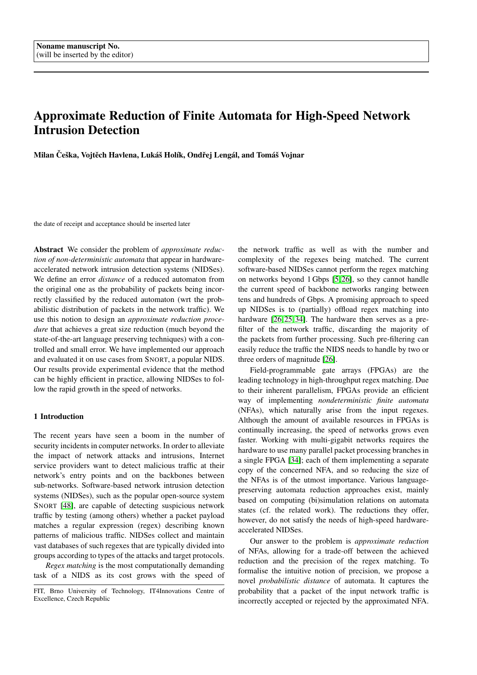# Approximate Reduction of Finite Automata for High-Speed Network Intrusion Detection

Milan Češka, Vojtěch Havlena, Lukáš Holík, Ondřej Lengál, and Tomáš Vojnar

the date of receipt and acceptance should be inserted later

Abstract We consider the problem of *approximate reduction of non-deterministic automata* that appear in hardwareaccelerated network intrusion detection systems (NIDSes). We define an error *distance* of a reduced automaton from the original one as the probability of packets being incorrectly classified by the reduced automaton (wrt the probabilistic distribution of packets in the network traffic). We use this notion to design an *approximate reduction procedure* that achieves a great size reduction (much beyond the state-of-the-art language preserving techniques) with a controlled and small error. We have implemented our approach and evaluated it on use cases from SNORT, a popular NIDS. Our results provide experimental evidence that the method can be highly efficient in practice, allowing NIDSes to follow the rapid growth in the speed of networks.

# 1 Introduction

The recent years have seen a boom in the number of security incidents in computer networks. In order to alleviate the impact of network attacks and intrusions, Internet service providers want to detect malicious traffic at their network's entry points and on the backbones between sub-networks. Software-based network intrusion detection systems (NIDSes), such as the popular open-source system SNORT [\[48\]](#page-15-0), are capable of detecting suspicious network traffic by testing (among others) whether a packet payload matches a regular expression (regex) describing known patterns of malicious traffic. NIDSes collect and maintain vast databases of such regexes that are typically divided into groups according to types of the attacks and target protocols.

*Regex matching* is the most computationally demanding task of a NIDS as its cost grows with the speed of

the network traffic as well as with the number and complexity of the regexes being matched. The current software-based NIDSes cannot perform the regex matching on networks beyond 1 Gbps [\[5,](#page-14-0) [26\]](#page-15-1), so they cannot handle the current speed of backbone networks ranging between tens and hundreds of Gbps. A promising approach to speed up NIDSes is to (partially) offload regex matching into hardware [\[26,](#page-15-1) [25,](#page-15-2) [34\]](#page-15-3). The hardware then serves as a prefilter of the network traffic, discarding the majority of the packets from further processing. Such pre-filtering can easily reduce the traffic the NIDS needs to handle by two or three orders of magnitude [\[26\]](#page-15-1).

Field-programmable gate arrays (FPGAs) are the leading technology in high-throughput regex matching. Due to their inherent parallelism, FPGAs provide an efficient way of implementing *nondeterministic finite automata* (NFAs), which naturally arise from the input regexes. Although the amount of available resources in FPGAs is continually increasing, the speed of networks grows even faster. Working with multi-gigabit networks requires the hardware to use many parallel packet processing branches in a single FPGA [\[34\]](#page-15-3); each of them implementing a separate copy of the concerned NFA, and so reducing the size of the NFAs is of the utmost importance. Various languagepreserving automata reduction approaches exist, mainly based on computing (bi)simulation relations on automata states (cf. the related work). The reductions they offer, however, do not satisfy the needs of high-speed hardwareaccelerated NIDSes.

Our answer to the problem is *approximate reduction* of NFAs, allowing for a trade-off between the achieved reduction and the precision of the regex matching. To formalise the intuitive notion of precision, we propose a novel *probabilistic distance* of automata. It captures the probability that a packet of the input network traffic is incorrectly accepted or rejected by the approximated NFA.

FIT, Brno University of Technology, IT4Innovations Centre of Excellence, Czech Republic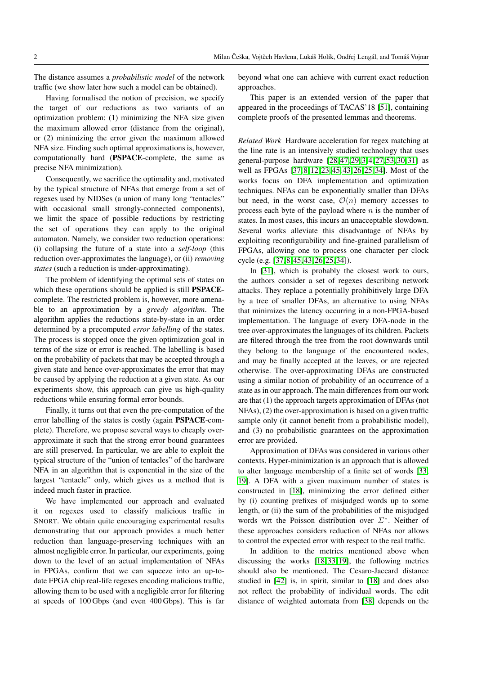The distance assumes a *probabilistic model* of the network traffic (we show later how such a model can be obtained).

Having formalised the notion of precision, we specify the target of our reductions as two variants of an optimization problem: (1) minimizing the NFA size given the maximum allowed error (distance from the original), or (2) minimizing the error given the maximum allowed NFA size. Finding such optimal approximations is, however, computationally hard (PSPACE-complete, the same as precise NFA minimization).

Consequently, we sacrifice the optimality and, motivated by the typical structure of NFAs that emerge from a set of regexes used by NIDSes (a union of many long "tentacles" with occasional small strongly-connected components), we limit the space of possible reductions by restricting the set of operations they can apply to the original automaton. Namely, we consider two reduction operations: (i) collapsing the future of a state into a *self-loop* (this reduction over-approximates the language), or (ii) *removing states* (such a reduction is under-approximating).

The problem of identifying the optimal sets of states on which these operations should be applied is still PSPACEcomplete. The restricted problem is, however, more amenable to an approximation by a *greedy algorithm*. The algorithm applies the reductions state-by-state in an order determined by a precomputed *error labelling* of the states. The process is stopped once the given optimization goal in terms of the size or error is reached. The labelling is based on the probability of packets that may be accepted through a given state and hence over-approximates the error that may be caused by applying the reduction at a given state. As our experiments show, this approach can give us high-quality reductions while ensuring formal error bounds.

Finally, it turns out that even the pre-computation of the error labelling of the states is costly (again PSPACE-complete). Therefore, we propose several ways to cheaply overapproximate it such that the strong error bound guarantees are still preserved. In particular, we are able to exploit the typical structure of the "union of tentacles" of the hardware NFA in an algorithm that is exponential in the size of the largest "tentacle" only, which gives us a method that is indeed much faster in practice.

We have implemented our approach and evaluated it on regexes used to classify malicious traffic in SNORT. We obtain quite encouraging experimental results demonstrating that our approach provides a much better reduction than language-preserving techniques with an almost negligible error. In particular, our experiments, going down to the level of an actual implementation of NFAs in FPGAs, confirm that we can squeeze into an up-todate FPGA chip real-life regexes encoding malicious traffic, allowing them to be used with a negligible error for filtering at speeds of 100 Gbps (and even 400 Gbps). This is far

beyond what one can achieve with current exact reduction approaches.

This paper is an extended version of the paper that appeared in the proceedings of TACAS'18 [\[51\]](#page-15-4), containing complete proofs of the presented lemmas and theorems.

*Related Work* Hardware acceleration for regex matching at the line rate is an intensively studied technology that uses general-purpose hardware [\[28,](#page-15-5) [47,](#page-15-6) [29,](#page-15-7) [3,](#page-14-1) [4,](#page-14-2) [27,](#page-15-8) [53,](#page-15-9) [30,](#page-15-10) [31\]](#page-15-11) as well as FPGAs [\[37,](#page-15-12) [8,](#page-14-3) [12,](#page-14-4) [23,](#page-14-5) [45,](#page-15-13) [43,](#page-15-14) [26,](#page-15-1) [25,](#page-15-2) [34\]](#page-15-3). Most of the works focus on DFA implementation and optimization techniques. NFAs can be exponentially smaller than DFAs but need, in the worst case,  $\mathcal{O}(n)$  memory accesses to process each byte of the payload where  $n$  is the number of states. In most cases, this incurs an unacceptable slowdown. Several works alleviate this disadvantage of NFAs by exploiting reconfigurability and fine-grained parallelism of FPGAs, allowing one to process one character per clock cycle (e.g. [\[37,](#page-15-12) [8,](#page-14-3) [45,](#page-15-13) [43,](#page-15-14) [26,](#page-15-1) [25,](#page-15-2) [34\]](#page-15-3)).

In [\[31\]](#page-15-11), which is probably the closest work to ours, the authors consider a set of regexes describing network attacks. They replace a potentially prohibitively large DFA by a tree of smaller DFAs, an alternative to using NFAs that minimizes the latency occurring in a non-FPGA-based implementation. The language of every DFA-node in the tree over-approximates the languages of its children. Packets are filtered through the tree from the root downwards until they belong to the language of the encountered nodes, and may be finally accepted at the leaves, or are rejected otherwise. The over-approximating DFAs are constructed using a similar notion of probability of an occurrence of a state as in our approach. The main differences from our work are that (1) the approach targets approximation of DFAs (not NFAs), (2) the over-approximation is based on a given traffic sample only (it cannot benefit from a probabilistic model), and (3) no probabilistic guarantees on the approximation error are provided.

Approximation of DFAs was considered in various other contexts. Hyper-minimization is an approach that is allowed to alter language membership of a finite set of words [\[33,](#page-15-15) [19\]](#page-14-6). A DFA with a given maximum number of states is constructed in [\[18\]](#page-14-7), minimizing the error defined either by (i) counting prefixes of misjudged words up to some length, or (ii) the sum of the probabilities of the misjudged words wrt the Poisson distribution over Σ<sup>∗</sup> . Neither of these approaches considers reduction of NFAs nor allows to control the expected error with respect to the real traffic.

In addition to the metrics mentioned above when discussing the works [\[18,](#page-14-7) [33,](#page-15-15) [19\]](#page-14-6), the following metrics should also be mentioned. The Cesaro-Jaccard distance studied in [\[42\]](#page-15-16) is, in spirit, similar to [\[18\]](#page-14-7) and does also not reflect the probability of individual words. The edit distance of weighted automata from [\[38\]](#page-15-17) depends on the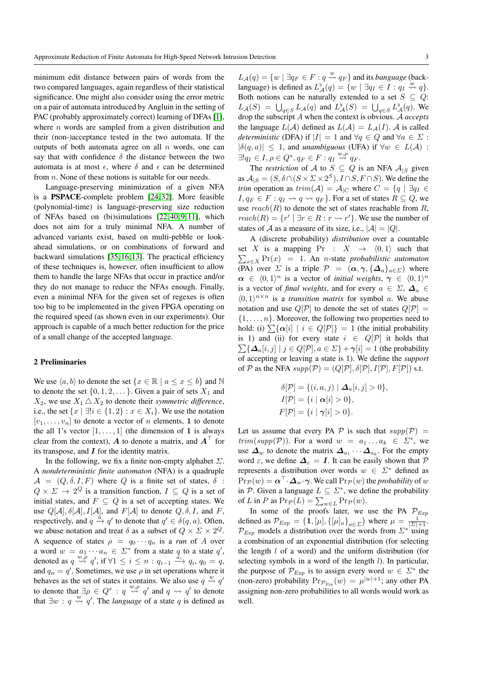minimum edit distance between pairs of words from the two compared languages, again regardless of their statistical significance. One might also consider using the error metric on a pair of automata introduced by Angluin in the setting of PAC (probably approximately correct) learning of DFAs [\[1\]](#page-14-8), where  $n$  words are sampled from a given distribution and their (non-)acceptance tested in the two automata. If the outputs of both automata agree on all  $n$  words, one can say that with confidence  $\delta$  the distance between the two automata is at most  $\epsilon$ , where  $\delta$  and  $\epsilon$  can be determined from *n*. None of these notions is suitable for our needs.

Language-preserving minimization of a given NFA is a PSPACE-complete problem [\[24,](#page-14-9) [32\]](#page-15-18). More feasible (polynomial-time) is language-preserving size reduction of NFAs based on (bi)simulations [\[22,](#page-14-10) [40,](#page-15-19) [9,](#page-14-11) [11\]](#page-14-12), which does not aim for a truly minimal NFA. A number of advanced variants exist, based on multi-pebble or lookahead simulations, or on combinations of forward and backward simulations [\[35,](#page-15-20) [16,](#page-14-13) [13\]](#page-14-14). The practical efficiency of these techniques is, however, often insufficient to allow them to handle the large NFAs that occur in practice and/or they do not manage to reduce the NFAs enough. Finally, even a minimal NFA for the given set of regexes is often too big to be implemented in the given FPGA operating on the required speed (as shown even in our experiments). Our approach is capable of a much better reduction for the price of a small change of the accepted language.

# <span id="page-2-0"></span>2 Preliminaries

We use  $\langle a, b \rangle$  to denote the set  $\{x \in \mathbb{R} \mid a \leq x \leq b\}$  and N to denote the set  $\{0, 1, 2, \ldots\}$ . Given a pair of sets  $X_1$  and  $X_2$ , we use  $X_1 \triangle X_2$  to denote their *symmetric difference*, i.e., the set  $\{x \mid \exists! i \in \{1,2\} : x \in X_i\}$ . We use the notation  $[v_1, \ldots, v_n]$  to denote a vector of n elements, 1 to denote the all 1's vector  $[1, \ldots, 1]$  (the dimension of 1 is always clear from the context), A to denote a matrix, and  $A^{\top}$  for its transpose, and  $I$  for the identity matrix.

In the following, we fix a finite non-empty alphabet  $\Sigma$ . A *nondeterministic finite automaton* (NFA) is a quadruple  $A = (Q, \delta, I, F)$  where Q is a finite set of states,  $\delta$ :  $Q \times \Sigma \rightarrow 2^Q$  is a transition function,  $I \subseteq Q$  is a set of initial states, and  $F \subseteq Q$  is a set of accepting states. We use  $Q[A], \delta[A], I[A]$ , and  $F[A]$  to denote  $Q, \delta, I$ , and F, respectively, and  $q \stackrel{a}{\rightarrow} q'$  to denote that  $q' \in \delta(q, a)$ . Often, we abuse notation and treat  $\delta$  as a subset of  $Q \times \Sigma \times 2^Q$ . A sequence of states  $\rho = q_0 \cdots q_n$  is a *run* of A over a word  $w = a_1 \cdots a_n \in \Sigma^*$  from a state q to a state q', denoted as  $q \stackrel{w, \tilde{\rho}}{\leadsto} q'$ , if  $\forall 1 \leq i \leq n : q_{i-1} \stackrel{\tilde{a}_i}{\longrightarrow} q_i, q_0 = q$ , and  $q_n = q'$ . Sometimes, we use  $\rho$  in set operations where it behaves as the set of states it contains. We also use  $q \stackrel{w}{\leadsto} q'$ to denote that  $\exists \rho \in Q^* : q \stackrel{w,\rho}{\leadsto} q'$  and  $q \leadsto q'$  to denote that  $\exists w : q \stackrel{w}{\leadsto} q'$ . The *language* of a state q is defined as

 $L_{\mathcal{A}}(q) = \{w \mid \exists q_F \in F : q \stackrel{w}{\leadsto} q_F\}$  and its *banguage* (backlanguage) is defined as  $L^{\flat}_{\mathcal{A}}(q) = \{w \mid \exists q_I \in I : q_I \stackrel{w}{\leadsto} q \}.$ Both notions can be naturally extended to a set  $S \subseteq Q$ :  $L_{\mathcal{A}}(S) = \bigcup_{q \in S} L_{\mathcal{A}}(q)$  and  $L^{\flat}_{\mathcal{A}}(S) = \bigcup_{q \in S} L^{\flat}_{\mathcal{A}}(q)$ . We drop the subscript A when the context is obvious. A *accepts* the language  $L(\mathcal{A})$  defined as  $L(\mathcal{A}) = L_{\mathcal{A}}(I)$ . A is called *deterministic* (DFA) if  $|I| = 1$  and  $\forall q \in Q$  and  $\forall a \in \Sigma$ :  $|\delta(q, a)| \leq 1$ , and *unambiguous* (UFA) if  $\forall w \in L(\mathcal{A})$ :  $\exists ! q_I \in I, \rho \in Q^*, q_F \in F: q_I \stackrel{w, \rho}{\leadsto} q_F.$ 

The *restriction* of A to  $S \subseteq Q$  is an NFA  $A_{|S}$  given as  $A_{|S} = (S, \delta \cap (S \times \Sigma \times 2^S), I \cap S, F \cap S)$ . We define the *trim* operation as  $trim(A) = A_{|C}$  where  $C = \{q | \exists q_I \in C\}$  $I, q_F \in F : q_I \leadsto q \leadsto q_F$ . For a set of states  $R \subseteq Q$ , we use  $reach(R)$  to denote the set of states reachable from R,  $reach(R) = \{r' | \exists r \in R : r \leadsto r'\}.$  We use the number of states of A as a measure of its size, i.e.,  $|A| = |Q|$ .

A (discrete probability) *distribution* over a countable set X is a mapping  $Pr : X \rightarrow \langle 0, 1 \rangle$  such that  $\sum_{x \in X} \Pr(x) = 1$ . An *n*-state *probabilistic automaton* (PA) over  $\Sigma$  is a triple  $\mathcal{P} = (\alpha, \gamma, {\{\Delta_a\}}_{a \in \Sigma})$  where  $\alpha \in \langle 0, 1 \rangle^n$  is a vector of *initial weights*,  $\gamma \in \langle 0, 1 \rangle^n$ is a vector of *final weights*, and for every  $a \in \Sigma$ ,  $\Delta_a \in$  $\langle 0, 1 \rangle^{n \times n}$  is a *transition matrix* for symbol a. We abuse notation and use  $Q[\mathcal{P}]$  to denote the set of states  $Q[\mathcal{P}] =$  $\{1, \ldots, n\}$ . Moreover, the following two properties need to hold: (i)  $\sum {\{\alpha[i] | i \in Q[\mathcal{P}] \}} = 1$  (the initial probability is 1) and (ii) for every state  $i \in Q[\mathcal{P}]$  it holds that  $\sum {\{\mathbf{\Delta}_a[i,j] \mid j \in Q[\mathcal{P}], a \in \Sigma\}} + \gamma[i] = 1$  (the probability of accepting or leaving a state is 1). We define the *support* of P as the NFA  $supp(\mathcal{P}) = (Q[\mathcal{P}], \delta[\mathcal{P}], I[\mathcal{P}], F[\mathcal{P}])$  s.t.

$$
\delta[\mathcal{P}] = \{(i, a, j) | \Delta_a[i, j] > 0\}, I[\mathcal{P}] = \{i | \alpha[i] > 0\}, F[\mathcal{P}] = \{i | \gamma[i] > 0\}.
$$

Let us assume that every PA  $\mathcal P$  is such that  $supp(\mathcal P)$  =  $trim(supp(\mathcal{P}))$ . For a word  $w = a_1 ... a_k \in \mathcal{Z}^*$ , we use  $\Delta_w$  to denote the matrix  $\Delta_{a_1} \cdots \Delta_{a_k}$ . For the empty word  $\varepsilon$ , we define  $\Delta_{\varepsilon} = I$ . It can be easily shown that  $\mathcal P$ represents a distribution over words  $w \in \Sigma^*$  defined as  $\Pr_{\mathcal{P}}(w) = \boldsymbol{\alpha}^\top \cdot \boldsymbol{\Delta}_w \cdot \boldsymbol{\gamma}$ . We call  $\Pr_{\mathcal{P}}(w)$  the *probability* of w in P. Given a language  $L \subseteq \Sigma^*$ , we define the probability of L in P as  $Pr_{\mathcal{P}}(L) = \sum_{w \in L} Pr_{\mathcal{P}}(w)$ .

In some of the proofs later, we use the PA  $\mathcal{P}_{Exp}$ defined as  $\mathcal{P}_{Exp} = (1, [\mu], \{[\mu]_a\}_{a \in \Sigma})$  where  $\mu = \frac{1}{|\Sigma|+1}$ .  $\mathcal{P}_{Exp}$  models a distribution over the words from  $\Sigma^*$  using a combination of an exponential distribution (for selecting the length  $l$  of a word) and the uniform distribution (for selecting symbols in a word of the length  $l$ ). In particular, the purpose of  $\mathcal{P}_{Exp}$  is to assign every word  $w \in \Sigma^*$  the (non-zero) probability  $Pr_{\mathcal{P}_{Exp}}(w) = \mu^{|w|+1}$ ; any other PA assigning non-zero probabilities to all words would work as well.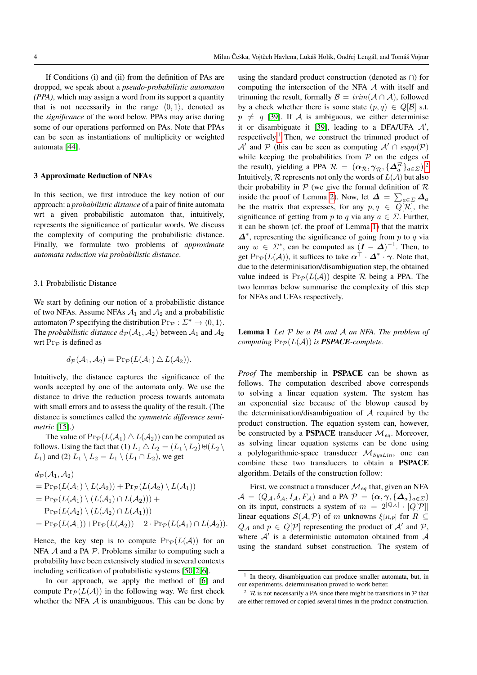If Conditions (i) and (ii) from the definition of PAs are dropped, we speak about a *pseudo-probabilistic automaton (PPA)*, which may assign a word from its support a quantity that is not necessarily in the range  $(0, 1)$ , denoted as the *significance* of the word below. PPAs may arise during some of our operations performed on PAs. Note that PPAs can be seen as instantiations of multiplicity or weighted automata [\[44\]](#page-15-21).

# 3 Approximate Reduction of NFAs

In this section, we first introduce the key notion of our approach: a *probabilistic distance* of a pair of finite automata wrt a given probabilistic automaton that, intuitively, represents the significance of particular words. We discuss the complexity of computing the probabilistic distance. Finally, we formulate two problems of *approximate automata reduction via probabilistic distance*.

# <span id="page-3-3"></span>3.1 Probabilistic Distance

We start by defining our notion of a probabilistic distance of two NFAs. Assume NFAs  $A_1$  and  $A_2$  and a probabilistic automaton P specifying the distribution  $Pr_{\mathcal{P}} : \Sigma^* \to \langle 0, 1 \rangle$ . The *probabilistic distance*  $d_P(A_1, A_2)$  between  $A_1$  and  $A_2$ wrt  $Pr_{\mathcal{P}}$  is defined as

$$
d_{\mathcal{P}}(\mathcal{A}_1, \mathcal{A}_2) = \Pr_{\mathcal{P}}(L(\mathcal{A}_1) \bigtriangleup L(\mathcal{A}_2)).
$$

Intuitively, the distance captures the significance of the words accepted by one of the automata only. We use the distance to drive the reduction process towards automata with small errors and to assess the quality of the result. (The distance is sometimes called the *symmetric difference semimetric* [\[15\]](#page-14-15).)

The value of  $Pr_{\mathcal{P}}(L(\mathcal{A}_1) \triangle L(\mathcal{A}_2))$  can be computed as follows. Using the fact that (1)  $L_1 \triangle L_2 = (L_1 \setminus L_2) \cup (L_2 \setminus$ L<sub>1</sub>) and (2)  $L_1 \setminus L_2 = L_1 \setminus (L_1 \cap L_2)$ , we get

$$
d_{\mathcal{P}}(\mathcal{A}_1, \mathcal{A}_2)
$$
  
=  $\Pr_{\mathcal{P}}(L(\mathcal{A}_1) \setminus L(\mathcal{A}_2)) + \Pr_{\mathcal{P}}(L(\mathcal{A}_2) \setminus L(\mathcal{A}_1))$   
=  $\Pr_{\mathcal{P}}(L(\mathcal{A}_1) \setminus (L(\mathcal{A}_1) \cap L(\mathcal{A}_2))) +$   
 $\Pr_{\mathcal{P}}(L(\mathcal{A}_2) \setminus (L(\mathcal{A}_2) \cap L(\mathcal{A}_1)))$   
=  $\Pr_{\mathcal{P}}(L(\mathcal{A}_1)) + \Pr_{\mathcal{P}}(L(\mathcal{A}_2)) - 2 \cdot \Pr_{\mathcal{P}}(L(\mathcal{A}_1) \cap L(\mathcal{A}_2)).$ 

Hence, the key step is to compute  $Pr_{\mathcal{P}}(L(\mathcal{A}))$  for an NFA  $\mathcal A$  and a PA  $\mathcal P$ . Problems similar to computing such a probability have been extensively studied in several contexts including verification of probabilistic systems [\[50,](#page-15-22) [2,](#page-14-16) [6\]](#page-14-17).

In our approach, we apply the method of [\[6\]](#page-14-17) and compute  $Pr_{\mathcal{P}}(L(\mathcal{A}))$  in the following way. We first check whether the NFA  $\mathcal A$  is unambiguous. This can be done by

using the standard product construction (denoted as ∩) for computing the intersection of the NFA A with itself and trimming the result, formally  $\mathcal{B} = trim(\mathcal{A} \cap \mathcal{A})$ , followed by a check whether there is some state  $(p, q) \in Q[\mathcal{B}]$  s.t.  $p \neq q$  [\[39\]](#page-15-23). If A is ambiguous, we either determinise it or disambiguate it [\[39\]](#page-15-23), leading to a DFA/UFA  $A'$ , respectively.<sup>[1](#page-3-0)</sup> Then, we construct the trimmed product of A' and P (this can be seen as computing  $A' \cap supp(\mathcal{P})$ while keeping the probabilities from  $P$  on the edges of the result), yielding a PPA  $\mathcal{R} = (\alpha_{\mathcal{R}}, \gamma_{\mathcal{R}}, {\{\Delta_a^{\mathcal{R}}\}_{a \in \Sigma}})^2$  $\mathcal{R} = (\alpha_{\mathcal{R}}, \gamma_{\mathcal{R}}, {\{\Delta_a^{\mathcal{R}}\}_{a \in \Sigma}})^2$ Intuitively,  $R$  represents not only the words of  $L(A)$  but also their probability in  $P$  (we give the formal definition of  $R$ inside the proof of Lemma [2\)](#page-4-0). Now, let  $\Delta = \sum_{a \in \Sigma} \Delta_a$ be the matrix that expresses, for any  $p, q \in Q[\overline{\mathcal{R}}]$ , the significance of getting from p to q via any  $a \in \Sigma$ . Further, it can be shown (cf. the proof of Lemma [1\)](#page-3-2) that the matrix  $\Delta^*$ , representing the significance of going from p to q via any  $w \in \Sigma^*$ , can be computed as  $(I - \Delta)^{-1}$ . Then, to get  $Pr_{\mathcal{P}}(L(\mathcal{A}))$ , it suffices to take  $\alpha^{\dagger} \cdot \Delta^* \cdot \gamma$ . Note that, due to the determinisation/disambiguation step, the obtained value indeed is  $Pr_{\mathcal{P}}(L(\mathcal{A}))$  despite R being a PPA. The two lemmas below summarise the complexity of this step for NFAs and UFAs respectively.

<span id="page-3-2"></span>Lemma 1 *Let* P *be a PA and* A *an NFA. The problem of computing*  $\Pr_{\mathcal{P}}(L(\mathcal{A}))$  *is PSPACE-complete.* 

*Proof* The membership in PSPACE can be shown as follows. The computation described above corresponds to solving a linear equation system. The system has an exponential size because of the blowup caused by the determinisation/disambiguation of  $A$  required by the product construction. The equation system can, however, be constructed by a PSPACE transducer  $\mathcal{M}_{eq}$ . Moreover, as solving linear equation systems can be done using a polylogarithmic-space transducer  $\mathcal{M}_{SysLin}$ , one can combine these two transducers to obtain a PSPACE algorithm. Details of the construction follow:

First, we construct a transducer  $\mathcal{M}_{eq}$  that, given an NFA  $\mathcal{A} = (Q_{\mathcal{A}}, \delta_{\mathcal{A}}, I_{\mathcal{A}}, F_{\mathcal{A}})$  and a PA  $\mathcal{P} = (\alpha, \gamma, {\{\Delta_a\}}_{a \in \mathcal{D}})$ on its input, constructs a system of  $m = 2^{|Q_A|} \cdot |Q[\mathcal{P}]|$ linear equations  $S(A, P)$  of m unknowns  $\xi_{[R,p]}$  for  $R \subseteq$  $Q_{\mathcal{A}}$  and  $p \in Q[\mathcal{P}]$  representing the product of  $\mathcal{A}'$  and  $\mathcal{P}$ , where  $A'$  is a deterministic automaton obtained from  $A$ using the standard subset construction. The system of

<span id="page-3-0"></span><sup>&</sup>lt;sup>1</sup> In theory, disambiguation can produce smaller automata, but, in our experiments, determinisation proved to work better.

<span id="page-3-1"></span><sup>&</sup>lt;sup>2</sup> R is not necessarily a PA since there might be transitions in  $P$  that are either removed or copied several times in the product construction.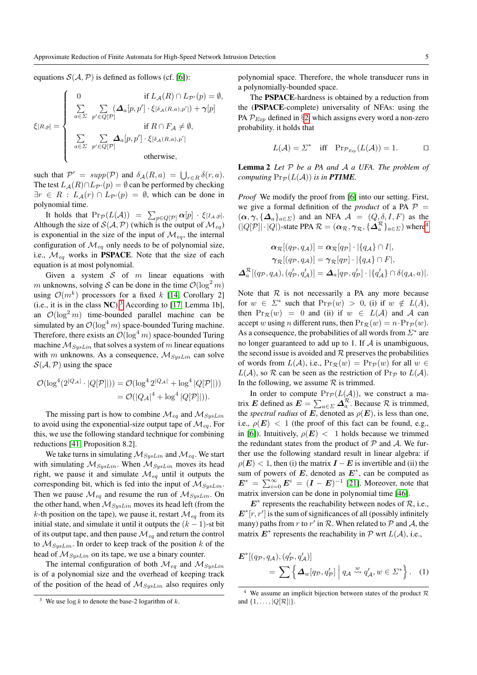equations  $\mathcal{S}(\mathcal{A}, \mathcal{P})$  is defined as follows (cf. [\[6\]](#page-14-17)):

$$
\xi_{[R,p]} = \begin{cases}\n0 & \text{if } L_{\mathcal{A}}(R) \cap L_{\mathcal{P}'}(p) = \emptyset, \\
\sum_{a \in \Sigma} \sum_{p' \in Q[\mathcal{P}]} (\Delta_a[p, p'] \cdot \xi_{[\delta_{\mathcal{A}}(R, a), p']) + \gamma[p] \\
\text{if } R \cap F_{\mathcal{A}} \neq \emptyset, \\
\sum_{a \in \Sigma} \sum_{p' \in Q[\mathcal{P}]} \Delta_a[p, p'] \cdot \xi_{[\delta_{\mathcal{A}}(R, a), p']} \\
\text{otherwise,} \n\end{cases}
$$

such that  $\mathcal{P}' = supp(\mathcal{P})$  and  $\delta_{\mathcal{A}}(R, a) = \bigcup_{r \in R} \delta(r, a)$ . The test  $L_A(R) \cap L_{\mathcal{P}}(p) = \emptyset$  can be performed by checking  $\exists r \in R : L_{\mathcal{A}}(r) \cap L_{\mathcal{P}'}(p) = \emptyset$ , which can be done in polynomial time.

It holds that  $\Pr_{\mathcal{P}}(L(\mathcal{A})) = \sum_{p \in Q[\mathcal{P}]} \boldsymbol{\alpha}[p] \cdot \xi_{[I_{\mathcal{A}},p]}.$ Although the size of  $\mathcal{S}(\mathcal{A}, \mathcal{P})$  (which is the output of  $\mathcal{M}_{eq}$ ) is exponential in the size of the input of  $\mathcal{M}_{eq}$ , the internal configuration of  $\mathcal{M}_{eq}$  only needs to be of polynomial size, i.e.,  $\mathcal{M}_{eq}$  works in **PSPACE**. Note that the size of each equation is at most polynomial.

Given a system  $S$  of m linear equations with m unknowns, solving S can be done in the time  $\mathcal{O}(\log^2 m)$ using  $\mathcal{O}(m^k)$  processors for a fixed k [\[14,](#page-14-18) Corollary 2] (i.e., it is in the class  $NC$ ).<sup>[3](#page-4-1)</sup> According to [\[17,](#page-14-19) Lemma 1b], an  $\mathcal{O}(\log^2 m)$  time-bounded parallel machine can be simulated by an  $\mathcal{O}(\log^4 m)$  space-bounded Turing machine. Therefore, there exists an  $\mathcal{O}(\log^4 m)$  space-bounded Turing machine  $\mathcal{M}_{SUSLin}$  that solves a system of m linear equations with m unknowns. As a consequence,  $\mathcal{M}_{SUSLin}$  can solve  $S(A, P)$  using the space

$$
\mathcal{O}(\log^4(2^{|Q_{\mathcal{A}}|} \cdot |Q[\mathcal{P}]|)) = \mathcal{O}(\log^4 2^{|Q_{\mathcal{A}}|} + \log^4 |Q[\mathcal{P}]|))
$$
  
=  $\mathcal{O}(|Q_{\mathcal{A}}|^4 + \log^4 |Q[\mathcal{P}]|)).$ 

The missing part is how to combine  $\mathcal{M}_{eq}$  and  $\mathcal{M}_{SysLin}$ to avoid using the exponential-size output tape of  $\mathcal{M}_{eq}$ . For this, we use the following standard technique for combining reductions [\[41,](#page-15-24) Proposition 8.2].

We take turns in simulating  $\mathcal{M}_{SysLin}$  and  $\mathcal{M}_{eq}$ . We start with simulating  $M_{SysLin}$ . When  $M_{SysLin}$  moves its head right, we pause it and simulate  $\mathcal{M}_{eq}$  until it outputs the corresponding bit, which is fed into the input of  $\mathcal{M}_{SysLin}$ . Then we pause  $\mathcal{M}_{eq}$  and resume the run of  $\mathcal{M}_{SysLin}$ . On the other hand, when  $M_{SysLin}$  moves its head left (from the k-th position on the tape), we pause it, restart  $\mathcal{M}_{eq}$  from its initial state, and simulate it until it outputs the  $(k - 1)$ -st bit of its output tape, and then pause  $\mathcal{M}_{eq}$  and return the control to  $M_{SysLin}$ . In order to keep track of the position k of the head of  $M_{SysLin}$  on its tape, we use a binary counter.

The internal configuration of both  $\mathcal{M}_{eq}$  and  $\mathcal{M}_{SysLin}$ is of a polynomial size and the overhead of keeping track of the position of the head of  $\mathcal{M}_{SUSLin}$  also requires only

polynomial space. Therefore, the whole transducer runs in a polynomially-bounded space.

The PSPACE-hardness is obtained by a reduction from the (PSPACE-complete) universality of NFAs: using the PA  $\mathcal{P}_{Exp}$  defined in §[2,](#page-2-0) which assigns every word a non-zero probability. it holds that

$$
L(\mathcal{A}) = \Sigma^* \quad \text{iff} \quad \Pr_{\mathcal{P}_{Exp}}(L(\mathcal{A})) = 1. \qquad \Box
$$

<span id="page-4-0"></span>Lemma 2 *Let* P *be a PA and* A *a UFA. The problem of computing*  $\Pr_{\mathcal{P}}(L(\mathcal{A}))$  *is in PTIME*.

*Proof* We modify the proof from [\[6\]](#page-14-17) into our setting. First, we give a formal definition of the *product* of a PA  $P =$  $(\alpha, \gamma, {\{\Delta_a\}}_{a \in \Sigma})$  and an NFA  $\mathcal{A} = (Q, \delta, I, F)$  as the  $(|Q[\mathcal{P}]|\cdot |Q|)$ -state PPA  $\mathcal{R} = (\alpha_{\mathcal{R}}, \gamma_{\mathcal{R}}, {\{\Delta_a^{\mathcal{R}}\}_{a \in \mathcal{L}}})$  where<sup>[4](#page-4-2)</sup>

$$
\alpha_{\mathcal{R}}[(q_{\mathcal{P}}, q_{\mathcal{A}})] = \alpha_{\mathcal{R}}[q_{\mathcal{P}}] \cdot |\{q_{\mathcal{A}}\} \cap I|,
$$
  

$$
\gamma_{\mathcal{R}}[(q_{\mathcal{P}}, q_{\mathcal{A}})] = \gamma_{\mathcal{R}}[q_{\mathcal{P}}] \cdot |\{q_{\mathcal{A}}\} \cap F|,
$$
  

$$
\Delta_{a}^{\mathcal{R}}[(q_{\mathcal{P}}, q_{\mathcal{A}}), (q_{\mathcal{P}}', q_{\mathcal{A}}')] = \Delta_{a}[q_{\mathcal{P}}, q_{\mathcal{P}}'] \cdot |\{q_{\mathcal{A}}'\} \cap \delta(q_{\mathcal{A}}, a)|.
$$

Note that  $R$  is not necessarily a PA any more because for  $w \in \Sigma^*$  such that  $Pr_{\mathcal{P}}(w) > 0$ , (i) if  $w \notin L(A)$ , then  $Pr_{\mathcal{R}}(w) = 0$  and (ii) if  $w \in L(\mathcal{A})$  and A can accept w using n different runs, then  $Pr_{\mathcal{R}}(w) = n \cdot Pr_{\mathcal{P}}(w)$ . As a consequence, the probabilities of all words from  $\Sigma^*$  are no longer guaranteed to add up to 1. If  $A$  is unambiguous, the second issue is avoided and  $R$  preserves the probabilities of words from  $L(\mathcal{A})$ , i.e.,  $Pr_{\mathcal{R}}(w) = Pr_{\mathcal{P}}(w)$  for all  $w \in$  $L(\mathcal{A})$ , so  $\mathcal R$  can be seen as the restriction of  $Pr_{\mathcal{P}}$  to  $L(\mathcal{A})$ . In the following, we assume  $R$  is trimmed.

In order to compute  $\Pr_{\mathcal{P}}(L(\mathcal{A}))$ , we construct a matrix E defined as  $E = \sum_{a \in \Sigma} \Delta_a^{\mathcal{R}}$ . Because  $\mathcal R$  is trimmed, the *spectral radius* of  $\vec{E}$ , denoted as  $\rho(E)$ , is less than one, i.e.,  $\rho(E)$  < 1 (the proof of this fact can be found, e.g., in [\[6\]](#page-14-17)). Intuitively,  $\rho(E) < 1$  holds because we trimmed the redundant states from the product of  $P$  and  $A$ . We further use the following standard result in linear algebra: if  $\rho(E)$  < 1, then (i) the matrix  $I - E$  is invertible and (ii) the sum of powers of  $E$ , denoted as  $E^*$ , can be computed as  $E^* = \sum_{i=0}^{\infty} E^i = (I - E)^{-1}$  [\[21\]](#page-14-20). Moreover, note that matrix inversion can be done in polynomial time [\[46\]](#page-15-25).

 $E^*$  represents the reachability between nodes of  $R$ , i.e.,  $E^*[r, r']$  is the sum of significances of all (possibly infinitely many) paths from r to r' in  $R$ . When related to  $P$  and  $A$ , the matrix  $E^*$  represents the reachability in  $P$  wrt  $L(A)$ , i.e.,

<span id="page-4-3"></span>
$$
\begin{split} \boldsymbol{E}^*[(q_{\mathcal{P}}, q_{\mathcal{A}}), (q_{\mathcal{P}}', q_{\mathcal{A}}')] \\ &= \sum \left\{ \boldsymbol{\Delta}_w[q_{\mathcal{P}}, q_{\mathcal{P}}'] \; \Big| \; q_{\mathcal{A}} \stackrel{w}{\leadsto} q_{\mathcal{A}}', w \in \Sigma^* \right\}. \end{split} \tag{1}
$$

<span id="page-4-1"></span><sup>&</sup>lt;sup>3</sup> We use  $\log k$  to denote the base-2 logarithm of k.

<span id="page-4-2"></span><sup>&</sup>lt;sup>4</sup> We assume an implicit bijection between states of the product  $\mathcal{R}$ and  $\{1, \ldots, |Q[\mathcal{R}]|\}.$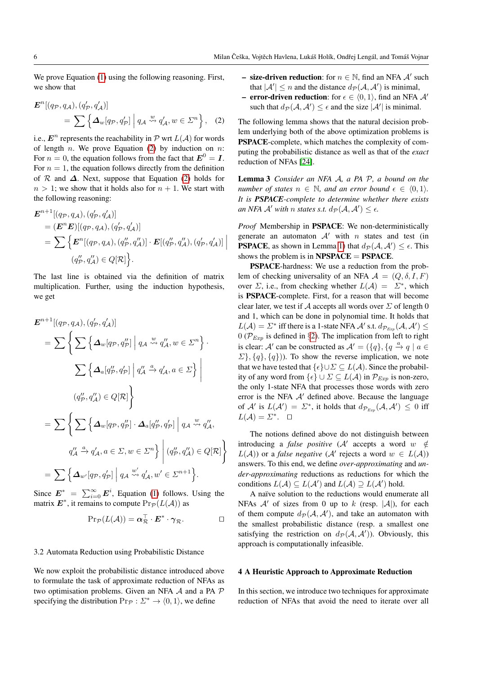We prove Equation [\(1\)](#page-4-3) using the following reasoning. First, we show that

$$
\mathbf{E}^{n}[(q_{\mathcal{P}}, q_{\mathcal{A}}), (q_{\mathcal{P}}^{\prime}, q_{\mathcal{A}}^{\prime})] = \sum \left\{ \mathbf{\Delta}_{w}[q_{\mathcal{P}}, q_{\mathcal{P}}^{\prime}] \mid q_{\mathcal{A}} \stackrel{w}{\leadsto} q_{\mathcal{A}}^{\prime}, w \in \Sigma^{n} \right\}, (2)
$$

i.e.,  $\mathbf{E}^n$  represents the reachability in  $P$  wrt  $L(\mathcal{A})$  for words of length *n*. We prove Equation [\(2\)](#page-5-0) by induction on *n*: For  $n = 0$ , the equation follows from the fact that  $E^0 = I$ . For  $n = 1$ , the equation follows directly from the definition of  $R$  and  $\Delta$ . Next, suppose that Equation [\(2\)](#page-5-0) holds for  $n > 1$ ; we show that it holds also for  $n + 1$ . We start with the following reasoning:

$$
\begin{split} \boldsymbol{E}^{n+1}[(q_{\mathcal{P}}, q_{\mathcal{A}}), (q_{\mathcal{P}}', q_{\mathcal{A}}')] \\ &= (\boldsymbol{E}^n \boldsymbol{E})[(q_{\mathcal{P}}, q_{\mathcal{A}}), (q_{\mathcal{P}}', q_{\mathcal{A}}')] \\ &= \sum \left\{ \boldsymbol{E}^n[(q_{\mathcal{P}}, q_{\mathcal{A}}), (q_{\mathcal{P}}'', q_{\mathcal{A}}'')] \cdot \boldsymbol{E}[(q_{\mathcal{P}}'', q_{\mathcal{A}}''), (q_{\mathcal{P}}', q_{\mathcal{A}}')] \right| \\ &\quad (q_{\mathcal{P}}'', q_{\mathcal{A}}'') \in Q[\mathcal{R}] \right\}. \end{split}
$$

The last line is obtained via the definition of matrix multiplication. Further, using the induction hypothesis, we get

$$
E^{n+1}[(q_{\mathcal{P}}, q_{\mathcal{A}}), (q'_{\mathcal{P}}, q'_{\mathcal{A}})]
$$
  
\n
$$
= \sum \left\{ \sum \left\{ \Delta_{w}[q_{\mathcal{P}}, q'_{\mathcal{P}}] \middle| q_{\mathcal{A}} \stackrel{w}{\leadsto} q''_{\mathcal{A}}, w \in \Sigma^{n} \right\} \cdot \sum \left\{ \Delta_{a}[q''_{\mathcal{P}}, q'_{\mathcal{P}}] \middle| q''_{\mathcal{A}} \stackrel{a}{\leadsto} q'_{\mathcal{A}}, a \in \Sigma \right\} \right\}
$$
  
\n
$$
(q''_{\mathcal{P}}, q''_{\mathcal{A}}) \in Q[\mathcal{R}] \right\}
$$
  
\n
$$
= \sum \left\{ \sum \left\{ \Delta_{w}[q_{\mathcal{P}}, q''_{\mathcal{P}}] \cdot \Delta_{a}[q''_{\mathcal{P}}, q'_{\mathcal{P}}] \middle| q_{\mathcal{A}} \stackrel{w}{\leadsto} q''_{\mathcal{A}},
$$
  
\n
$$
q''_{\mathcal{A}} \stackrel{a}{\leadsto} q'_{\mathcal{A}}, a \in \Sigma, w \in \Sigma^{n} \right\} \left| (q''_{\mathcal{P}}, q''_{\mathcal{A}}) \in Q[\mathcal{R}] \right\}
$$
  
\n
$$
= \sum \left\{ \Delta_{w'}[q_{\mathcal{P}}, q'_{\mathcal{P}}] \middle| q_{\mathcal{A}} \stackrel{w'}{\leadsto} q'_{\mathcal{A}}, w' \in \Sigma^{n+1} \right\}.
$$

Since  $E^* = \sum_{i=0}^{\infty} E^i$ , Equation [\(1\)](#page-4-3) follows. Using the matrix  $E^*$ , it remains to compute  $Pr_{\mathcal{P}}(L(\mathcal{A}))$  as

$$
\Pr_{\mathcal{P}}(L(\mathcal{A})) = \alpha_{\mathcal{R}}^{\top} \cdot \mathbf{E}^* \cdot \gamma_{\mathcal{R}}.\quad \Box
$$

#### 3.2 Automata Reduction using Probabilistic Distance

We now exploit the probabilistic distance introduced above to formulate the task of approximate reduction of NFAs as two optimisation problems. Given an NFA A and a PA P specifying the distribution  $Pr_{\mathcal{P}} : \Sigma^* \to \langle 0, 1 \rangle$ , we define

- size-driven reduction: for  $n \in \mathbb{N}$ , find an NFA  $\mathcal{A}'$  such that  $|\mathcal{A}'| \leq n$  and the distance  $d_{\mathcal{P}}(\mathcal{A}, \mathcal{A}')$  is minimal,
- error-driven reduction: for  $\epsilon \in \langle 0, 1 \rangle$ , find an NFA  $\mathcal{A}'$ such that  $d_{\mathcal{P}}(\mathcal{A}, \mathcal{A}') \leq \epsilon$  and the size  $|\mathcal{A}'|$  is minimal.

<span id="page-5-0"></span>The following lemma shows that the natural decision problem underlying both of the above optimization problems is PSPACE-complete, which matches the complexity of computing the probabilistic distance as well as that of the *exact* reduction of NFAs [\[24\]](#page-14-9).

<span id="page-5-1"></span>Lemma 3 *Consider an NFA* A*, a PA* P*, a bound on the number of states*  $n \in \mathbb{N}$ *, and an error bound*  $\epsilon \in (0, 1)$ *. It is PSPACE-complete to determine whether there exists an NFA*  $\mathcal{A}'$  *with n states s.t.*  $d_{\mathcal{P}}(\mathcal{A}, \mathcal{A}') \leq \epsilon$ .

*Proof* Membership in PSPACE: We non-deterministically generate an automaton  $A'$  with n states and test (in **PSPACE**, as shown in Lemma [1\)](#page-3-2) that  $d_p(\mathcal{A}, \mathcal{A}') \leq \epsilon$ . This shows the problem is in  $NPSPACE = PSPACE$ .

PSPACE-hardness: We use a reduction from the problem of checking universality of an NFA  $\mathcal{A} = (Q, \delta, I, F)$ over  $\Sigma$ , i.e., from checking whether  $L(\mathcal{A}) = \Sigma^*$ , which is PSPACE-complete. First, for a reason that will become clear later, we test if A accepts all words over  $\Sigma$  of length 0 and 1, which can be done in polynomial time. It holds that  $L(\mathcal{A}) = \Sigma^*$  iff there is a 1-state NFA  $\mathcal{A}'$  s.t.  $d_{\mathcal{P}_{Exp}}(\mathcal{A}, \mathcal{A}') \leq$ 0 ( $\mathcal{P}_{Exp}$  is defined in §[2\)](#page-2-0). The implication from left to right is clear: A' can be constructed as  $A' = (\{q\}, \{q \stackrel{a}{\rightarrow} q \mid a \in$  $\Sigma$ ,  $\{q\}$ ,  $\{q\}$ )). To show the reverse implication, we note that we have tested that  $\{\epsilon\} \cup \Sigma \subseteq L(\mathcal{A})$ . Since the probability of any word from  $\{\epsilon\} \cup \Sigma \subseteq L(\mathcal{A})$  in  $\mathcal{P}_{Exp}$  is non-zero, the only 1-state NFA that processes those words with zero error is the NFA  $A'$  defined above. Because the language of A' is  $L(\mathcal{A}') = \Sigma^*$ , it holds that  $d_{\mathcal{P}_{Exp}}(\mathcal{A}, \mathcal{A}') \leq 0$  iff  $L(\mathcal{A}) = \Sigma^*$ .  $\Box$ 

The notions defined above do not distinguish between introducing a *false positive*  $(A'$  accepts a word  $w \notin$  $L(\mathcal{A})$  or a *false negative*  $(\mathcal{A}'$  rejects a word  $w \in L(\mathcal{A})$ ) answers. To this end, we define *over-approximating* and *under-approximating* reductions as reductions for which the conditions  $L(\mathcal{A}) \subseteq L(\mathcal{A}')$  and  $L(\mathcal{A}) \supseteq L(\mathcal{A}')$  hold.

A naïve solution to the reductions would enumerate all NFAs  $A'$  of sizes from 0 up to k (resp.  $|A|$ ), for each of them compute  $d_{\mathcal{P}}(\mathcal{A}, \mathcal{A}')$ , and take an automaton with the smallest probabilistic distance (resp. a smallest one satisfying the restriction on  $d_{\mathcal{P}}(\mathcal{A}, \mathcal{A}'))$ . Obviously, this approach is computationally infeasible.

#### <span id="page-5-2"></span>4 A Heuristic Approach to Approximate Reduction

In this section, we introduce two techniques for approximate reduction of NFAs that avoid the need to iterate over all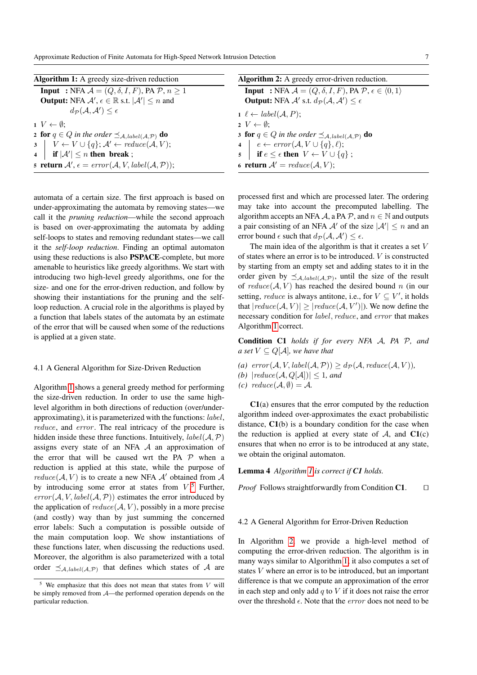| <b>Algorithm 1:</b> A greedy size-driven reduction                                                     | Algorithm 2: A greedy error-driven reduction.                                                              |
|--------------------------------------------------------------------------------------------------------|------------------------------------------------------------------------------------------------------------|
| <b>Input</b> : NFA $\mathcal{A} = (Q, \delta, I, F)$ , PA $\mathcal{P}, n \geq 1$                      | <b>Input</b> : NFA $\mathcal{A} = (Q, \delta, I, F)$ , PA $\mathcal{P}, \epsilon \in \langle 0, 1 \rangle$ |
| <b>Output:</b> NFA $\mathcal{A}', \epsilon \in \mathbb{R}$ s.t. $ \mathcal{A}'  \leq n$ and            | <b>Output:</b> NFA $\mathcal{A}'$ s.t. $d_{\mathcal{P}}(\mathcal{A}, \mathcal{A}') \leq \epsilon$          |
| $d_{\mathcal{P}}(\mathcal{A}, \mathcal{A}') \leq \epsilon$                                             | $1 \ell \leftarrow label(A, P);$                                                                           |
| $1 \, V \leftarrow \emptyset$ :                                                                        | $2 V \leftarrow \emptyset$ ;                                                                               |
| <b>2 for</b> $q \in Q$ in the order $\preceq_{\mathcal{A}, label(\mathcal{A}, \mathcal{P})}$ <b>do</b> | 3 for $q \in Q$ in the order $\preceq_{A, label(A, P)} \mathbf{d}$                                         |
| $3 \mid V \leftarrow V \cup \{q\}; \mathcal{A}' \leftarrow reduce(\mathcal{A}, V);$                    | 4 $e \leftarrow error(A, V \cup \{q\}, \ell);$                                                             |
| 4   if $ \mathcal{A}'  \leq n$ then break;                                                             | 5   if $e \leq \epsilon$ then $V \leftarrow V \cup \{q\}$ ;                                                |
| 5 return $A'$ , $\epsilon = error(A, V, label(A, P));$                                                 | 6 return $A' = reduce(A, V);$                                                                              |

<span id="page-6-0"></span>automata of a certain size. The first approach is based on under-approximating the automata by removing states—we call it the *pruning reduction*—while the second approach is based on over-approximating the automata by adding self-loops to states and removing redundant states—we call it the *self-loop reduction*. Finding an optimal automaton using these reductions is also PSPACE-complete, but more amenable to heuristics like greedy algorithms. We start with introducing two high-level greedy algorithms, one for the size- and one for the error-driven reduction, and follow by showing their instantiations for the pruning and the selfloop reduction. A crucial role in the algorithms is played by a function that labels states of the automata by an estimate of the error that will be caused when some of the reductions is applied at a given state.

#### <span id="page-6-3"></span>4.1 A General Algorithm for Size-Driven Reduction

Algorithm [1](#page-6-0) shows a general greedy method for performing the size-driven reduction. In order to use the same highlevel algorithm in both directions of reduction (over/underapproximating), it is parameterized with the functions: label, reduce, and error. The real intricacy of the procedure is hidden inside these three functions. Intuitively,  $label(A, P)$ assigns every state of an NFA  $\mathcal A$  an approximation of the error that will be caused wrt the PA P when a reduction is applied at this state, while the purpose of reduce( $A, V$ ) is to create a new NFA  $A'$  obtained from  $A$ by introducing some error at states from  $V^5$  $V^5$ . Further,  $error(A, V, label(A, P))$  estimates the error introduced by the application of  $reduce(A, V)$ , possibly in a more precise (and costly) way than by just summing the concerned error labels: Such a computation is possible outside of the main computation loop. We show instantiations of these functions later, when discussing the reductions used. Moreover, the algorithm is also parameterized with a total order  $\preceq_{A, label(A, \mathcal{P})}$  that defines which states of A are

<span id="page-6-2"></span>processed first and which are processed later. The ordering may take into account the precomputed labelling. The algorithm accepts an NFA A, a PA P, and  $n \in \mathbb{N}$  and outputs a pair consisting of an NFA  $\mathcal{A}'$  of the size  $|\mathcal{A}'| \leq n$  and an error bound  $\epsilon$  such that  $d_{\mathcal{P}}(\mathcal{A}, \mathcal{A}') \leq \epsilon$ .

The main idea of the algorithm is that it creates a set  $V$ of states where an error is to be introduced. V is constructed by starting from an empty set and adding states to it in the order given by  $\preceq_{A, label(\mathcal{A}, \mathcal{P})}$ , until the size of the result of  $reduce(A, V)$  has reached the desired bound n (in our setting, *reduce* is always antitone, i.e., for  $V \subseteq V'$ , it holds that  $|reduce(A, V)| \geq |reduce(A, V')|$ ). We now define the necessary condition for label, reduce, and error that makes Algorithm [1](#page-6-0) correct.

Condition C1 *holds if for every NFA* A*, PA* P*, and a set*  $V \subseteq Q[A]$ *, we have that* 

- (a)  $error(A, V, label(A, P)) \ge d_P(A, reduce(A, V)),$
- *(b)*  $|reduce(A, Q[A])| \leq 1$ *, and*
- *(c)*  $reduce(\mathcal{A}, \emptyset) = \mathcal{A}.$

 $C1(a)$  ensures that the error computed by the reduction algorithm indeed over-approximates the exact probabilistic distance,  $C1(b)$  is a boundary condition for the case when the reduction is applied at every state of  $A$ , and  $Cl(c)$ ensures that when no error is to be introduced at any state, we obtain the original automaton.

Lemma 4 *Algorithm [1](#page-6-0) is correct if C1 holds.*

*Proof* Follows straightforwardly from Condition  $C1$ .  $\square$ 

# <span id="page-6-4"></span>4.2 A General Algorithm for Error-Driven Reduction

In Algorithm [2,](#page-6-2) we provide a high-level method of computing the error-driven reduction. The algorithm is in many ways similar to Algorithm [1;](#page-6-0) it also computes a set of states V where an error is to be introduced, but an important difference is that we compute an approximation of the error in each step and only add  $q$  to  $V$  if it does not raise the error over the threshold  $\epsilon$ . Note that the *error* does not need to be

<span id="page-6-1"></span>We emphasize that this does not mean that states from  $V$  will be simply removed from A—the performed operation depends on the particular reduction.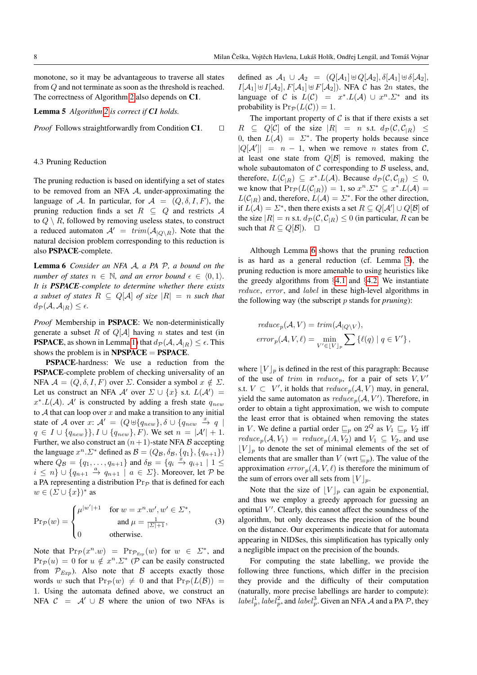monotone, so it may be advantageous to traverse all states from Q and not terminate as soon as the threshold is reached. The correctness of Algorithm [2](#page-6-2) also depends on C1.

Lemma 5 *Algorithm [2](#page-6-2) is correct if C1 holds.*

*Proof* Follows straightforwardly from Condition  $C1$ .  $\square$ 

# <span id="page-7-1"></span>4.3 Pruning Reduction

The pruning reduction is based on identifying a set of states to be removed from an NFA A, under-approximating the language of A. In particular, for  $A = (Q, \delta, I, F)$ , the pruning reduction finds a set  $R \subseteq Q$  and restricts A to  $Q \setminus R$ , followed by removing useless states, to construct a reduced automaton  $A' = trim(A_{|Q\setminus R})$ . Note that the natural decision problem corresponding to this reduction is also PSPACE-complete.

<span id="page-7-0"></span>Lemma 6 *Consider an NFA* A*, a PA* P*, a bound on the number of states*  $n \in \mathbb{N}$ *, and an error bound*  $\epsilon \in \langle 0, 1 \rangle$ *. It is PSPACE-complete to determine whether there exists a subset of states*  $R \subseteq Q[A]$  *of size*  $|R| = n$  *such that*  $d_{\mathcal{P}}(\mathcal{A}, \mathcal{A}_{|R}) \leq \epsilon.$ 

*Proof* Membership in PSPACE: We non-deterministically generate a subset R of  $Q[A]$  having n states and test (in **PSPACE**, as shown in Lemma [1\)](#page-3-2) that  $d_P(A, A_{|R}) \leq \epsilon$ . This shows the problem is in  $NPSPACE = PSPACE$ .

PSPACE-hardness: We use a reduction from the PSPACE-complete problem of checking universality of an NFA  $\mathcal{A} = (Q, \delta, I, F)$  over  $\Sigma$ . Consider a symbol  $x \notin \Sigma$ . Let us construct an NFA  $\mathcal{A}'$  over  $\Sigma \cup \{x\}$  s.t.  $L(\mathcal{A}') =$  $x^*$ . $L(A)$ . A' is constructed by adding a fresh state  $q_{new}$ to  $A$  that can loop over  $x$  and make a transition to any initial state of A over x:  $A' = (Q \cup \{q_{new}\}, \delta \cup \{q_{new} \stackrel{x}{\rightarrow} q \mid \mathcal{A}\})$  $q \in I \cup \{q_{new}\}\}\$ ,  $I \cup \{q_{new}\}\$ ,  $F$ ). We set  $n = |\mathcal{A}'| + 1$ . Further, we also construct an  $(n + 1)$ -state NFA B accepting the language  $x^n \cdot \Sigma^*$  defined as  $\mathcal{B} = (Q_{\mathcal{B}}, \delta_{\mathcal{B}}, \{q_1\}, \{q_{n+1}\})$ where  $Q_B = \{q_1, \ldots, q_{n+1}\}\$  and  $\delta_B = \{q_i \stackrel{x}{\rightarrow} q_{i+1} \mid 1 \leq$  $i \leq n$  ∪  $\{q_{n+1} \stackrel{a}{\rightarrow} q_{n+1} \mid a \in \Sigma\}$ . Moreover, let P be a PA representing a distribution  $Pr_{\mathcal{P}}$  that is defined for each  $w \in (\Sigma \cup \{x\})^*$  as

$$
\Pr_{\mathcal{P}}(w) = \begin{cases} \mu^{|w'|+1} & \text{for } w = x^n \cdot w', w' \in \Sigma^*,\\ \text{and } \mu = \frac{1}{|\Sigma|+1},\\ 0 & \text{otherwise.} \end{cases} \tag{3}
$$

Note that  $Pr_{\mathcal{P}}(x^n w) = Pr_{\mathcal{P}_{Exp}}(w)$  for  $w \in \Sigma^*$ , and  $Pr_{\mathcal{P}}(u) = 0$  for  $u \notin x^n \cdot \Sigma^*$  ( $\mathcal{P}$  can be easily constructed from  $\mathcal{P}_{Exp}$ ). Also note that  $\beta$  accepts exactly those words w such that  $Pr_{\mathcal{P}}(w) \neq 0$  and that  $Pr_{\mathcal{P}}(L(\mathcal{B})) =$ 1. Using the automata defined above, we construct an NFA  $C = A' \cup B$  where the union of two NFAs is

defined as  $A_1 \cup A_2 = (Q[A_1] \oplus Q[A_2], \delta[A_1] \oplus \delta[A_2],$  $I[A_1] \oplus I[A_2], F[A_1] \oplus F[A_2]$ . NFA C has 2n states, the language of C is  $L(C) = x^* . L(A) \cup x^n . \Sigma^*$  and its probability is  $Pr_{\mathcal{P}}(L(\mathcal{C})) = 1$ .

The important property of  $C$  is that if there exists a set  $R \subseteq Q[\mathcal{C}]$  of the size  $|R| = n$  s.t.  $d_{\mathcal{P}}(\mathcal{C}, \mathcal{C}_{|R}) \le$ 0, then  $L(A) = \Sigma^*$ . The property holds because since  $|Q[A']| = n - 1$ , when we remove *n* states from *C*, at least one state from  $Q[\mathcal{B}]$  is removed, making the whole subautomaton of  $\mathcal C$  corresponding to  $\mathcal B$  useless, and, therefore,  $L(C_{|R}) \subseteq x^* . L(A)$ . Because  $d_{\mathcal{P}}(\mathcal{C}, C_{|R}) \leq 0$ , we know that  $Pr_{\mathcal{P}}(L(\mathcal{C}_{|R})) = 1$ , so  $x^n \cdot \Sigma^* \subseteq x^* \cdot L(\mathcal{A}) =$  $L(C_{|R})$  and, therefore,  $L(A) = \Sigma^*$ . For the other direction, if  $L(\mathcal{A}) = \Sigma^*$ , then there exists a set  $R \subseteq Q[\mathcal{A}'] \cup Q[\mathcal{B}]$  of the size  $|R| = n$  s.t.  $d_p(C, C_R) \leq 0$  (in particular, R can be such that  $R \subseteq Q[\mathcal{B}]$ ).  $\Box$ 

Although Lemma [6](#page-7-0) shows that the pruning reduction is as hard as a general reduction (cf. Lemma [3\)](#page-5-1), the pruning reduction is more amenable to using heuristics like the greedy algorithms from §[4.1](#page-6-3) and §[4.2.](#page-6-4) We instantiate reduce, error, and label in these high-level algorithms in the following way (the subscript p stands for *pruning*):

$$
reduce_p(\mathcal{A}, V) = trim(\mathcal{A}_{|Q \setminus V}),
$$

$$
error_p(\mathcal{A}, V, \ell) = \min_{V' \in [V]_p} \sum \{ \ell(q) \mid q \in V' \},
$$

where  $\lfloor V \rfloor_p$  is defined in the rest of this paragraph: Because of the use of trim in reduce<sub>p</sub>, for a pair of sets  $V, V'$ s.t.  $V \subset V'$ , it holds that  $reduce_p(\mathcal{A}, V)$  may, in general, yield the same automaton as  $reduce_p(\mathcal{A}, V')$ . Therefore, in order to obtain a tight approximation, we wish to compute the least error that is obtained when removing the states in V. We define a partial order  $\sqsubseteq_p$  on  $2^Q$  as  $V_1 \sqsubseteq_p V_2$  iff  $reduce_p(A, V_1)$  =  $reduce_p(A, V_2)$  and  $V_1 \subseteq V_2$ , and use  $[V]_p$  to denote the set of minimal elements of the set of elements that are smaller than V (wrt  $\mathcal{L}_p$ ). The value of the approximation  $error_p(A, V, \ell)$  is therefore the minimum of the sum of errors over all sets from  $\lfloor V \rfloor_p$ .

Note that the size of  $[V]_p$  can again be exponential, and thus we employ a greedy approach for guessing an optimal  $V'$ . Clearly, this cannot affect the soundness of the algorithm, but only decreases the precision of the bound on the distance. Our experiments indicate that for automata appearing in NIDSes, this simplification has typically only a negligible impact on the precision of the bounds.

For computing the state labelling, we provide the following three functions, which differ in the precision they provide and the difficulty of their computation (naturally, more precise labellings are harder to compute):  $label_p^1$ ,  $label_p^2$ , and  $label_p^3$ . Given an NFA  $A$  and a PA  $P$ , they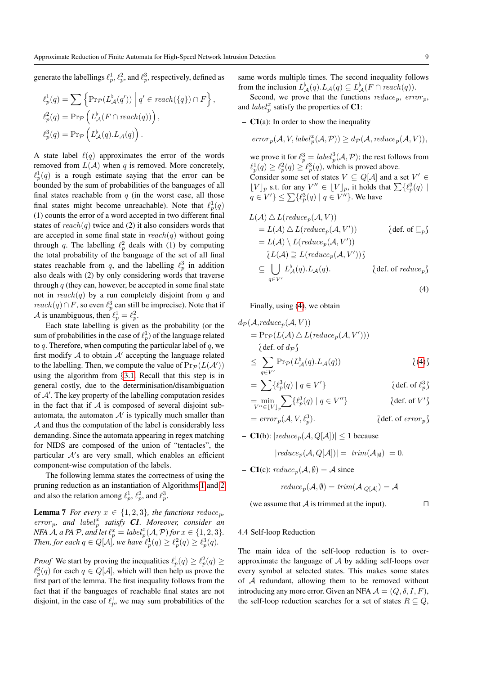generate the labellings  $\ell_p^1, \ell_p^2$ , and  $\ell_p^3$ , respectively, defined as

$$
\ell_p^1(q) = \sum \left\{ \Pr_{\mathcal{P}}(L_{\mathcal{A}}^b(q')) \middle| q' \in reach(\lbrace q \rbrace) \cap F \right\},\
$$
  

$$
\ell_p^2(q) = \Pr_{\mathcal{P}}(L_{\mathcal{A}}^b(F \cap reach(q)))
$$
,  

$$
\ell_p^3(q) = \Pr_{\mathcal{P}}(L_{\mathcal{A}}^b(q).L_{\mathcal{A}}(q)).
$$

A state label  $\ell(q)$  approximates the error of the words removed from  $L(\mathcal{A})$  when q is removed. More concretely,  $\ell_p^1(q)$  is a rough estimate saying that the error can be bounded by the sum of probabilities of the banguages of all final states reachable from  $q$  (in the worst case, all those final states might become unreachable). Note that  $\ell_p^1(q)$ (1) counts the error of a word accepted in two different final states of  $reach(q)$  twice and (2) it also considers words that are accepted in some final state in  $reach(q)$  without going through q. The labelling  $\ell_p^2$  deals with (1) by computing the total probability of the banguage of the set of all final states reachable from q, and the labelling  $\ell_p^3$  in addition also deals with (2) by only considering words that traverse through  $q$  (they can, however, be accepted in some final state not in  $reach(q)$  by a run completely disjoint from q and  $reach(q) \cap F$ , so even  $\ell_p^3$  can still be imprecise). Note that if A is unambiguous, then  $\ell_p^1 = \ell_p^2$ .

Each state labelling is given as the probability (or the sum of probabilities in the case of  $\ell_p^1$ ) of the language related to  $q$ . Therefore, when computing the particular label of  $q$ , we first modify  $A$  to obtain  $A'$  accepting the language related to the labelling. Then, we compute the value of  $\Pr_{\mathcal{P}}(L(\mathcal{A}'))$ using the algorithm from §[3.1.](#page-3-3) Recall that this step is in general costly, due to the determinisation/disambiguation of  $A'$ . The key property of the labelling computation resides in the fact that if  $A$  is composed of several disjoint subautomata, the automaton  $A'$  is typically much smaller than A and thus the computation of the label is considerably less demanding. Since the automata appearing in regex matching for NIDS are composed of the union of "tentacles", the particular  $A$ 's are very small, which enables an efficient component-wise computation of the labels.

The following lemma states the correctness of using the pruning reduction as an instantiation of Algorithms [1](#page-6-0) and [2](#page-6-2) and also the relation among  $\ell_p^1$ ,  $\ell_p^2$ , and  $\ell_p^3$ .

**Lemma 7** *For every*  $x \in \{1, 2, 3\}$ *, the functions reduce<sub>p</sub>,*  $error_p$ , and label<sub>p</sub> satisfy **C1**. Moreover, consider an *NFA*  $\hat{\mathcal{A}}$ *, a PA*  $\mathcal{P}$ *, and let*  $\ell_p^x = label_p^x(\mathcal{A}, \mathcal{P})$  *for*  $x \in \{1, 2, 3\}$ *.* Then, for each  $q \in Q[\mathcal{A}]$ , we have  $\ell_p^1(q) \geq \ell_p^2(q) \geq \ell_p^3(q)$ .

*Proof* We start by proving the inequalities  $\ell_p^1(q) \geq \ell_p^2(q) \geq$  $\ell_p^3(q)$  for each  $q \in Q[A]$ , which will then help us prove the first part of the lemma. The first inequality follows from the fact that if the banguages of reachable final states are not disjoint, in the case of  $\ell_p^1$ , we may sum probabilities of the same words multiple times. The second inequality follows from the inclusion  $L^{\flat}_{\mathcal{A}}(q)$ .  $L_{\mathcal{A}}(q) \subseteq L^{\flat}_{\mathcal{A}}(F \cap reach(q)).$ 

Second, we prove that the functions  $reduce_p$ ,  $error_p$ , and  $label_p^x$  satisfy the properties of C1:

 $-$  **C1**(a): In order to show the inequality

 $error_p(\mathcal{A}, V, label_p^x(\mathcal{A}, \mathcal{P})) \geq d_{\mathcal{P}}(\mathcal{A}, reduce_p(\mathcal{A}, V)),$ 

we prove it for  $\ell_p^3 = label_p^3(\mathcal{A}, \mathcal{P})$ ; the rest follows from  $\ell_p^1(q) \geq \ell_p^2(q) \geq \ell_p^3(q)$ , which is proved above. Consider some set of states  $V \subseteq Q[A]$  and a set  $V' \in$  $\lfloor V \rfloor_p$  s.t. for any  $V'' \in \lfloor V \rfloor_p$ , it holds that  $\sum \{ \ell_p^3(q) \mid$  $q \in V'$ }  $\leq \sum {\{\ell_p^3(q) \mid q \in V''\}}$ . We have

<span id="page-8-0"></span>
$$
L(\mathcal{A}) \triangle L(reduce_p(\mathcal{A}, V))
$$
  
=  $L(\mathcal{A}) \triangle L(reduce_p(\mathcal{A}, V'))$  (def. of  $\sqsubseteq_p$ )  
=  $L(\mathcal{A}) \setminus L(reduce_p(\mathcal{A}, V'))$   
 $\{L(\mathcal{A}) \supseteq L(reduce_p(\mathcal{A}, V'))\}$   
 $\subseteq \bigcup_{q \in V'} L^{\flat}_{\mathcal{A}}(q).L_{\mathcal{A}}(q).$  (def. of reduce<sub>p</sub>)

Finally, using [\(4\)](#page-8-0), we obtain

$$
d_{\mathcal{P}}(\mathcal{A}, reduce_{p}(\mathcal{A}, V))
$$
  
= Pr\_{\mathcal{P}}(L(\mathcal{A}) \triangle L(reduce\_{p}(\mathcal{A}, V')))  
(def. of  $d_{\mathcal{P}} \S$   

$$
\leq \sum_{q \in V'} Pr_{\mathcal{P}}(L_{\mathcal{A}}^{b}(q).L_{\mathcal{A}}(q))
$$
 ( (4)

$$
= \sum \{ \ell_p^3(q) \mid q \in V' \} \qquad \text{(def. of } \ell_p^3 \}
$$

$$
= \min_{V'' \in [V]_p} \sum \{ \ell_p^3(q) \mid q \in V'' \} \qquad \text{(def. of } V' \text{)}
$$

$$
= error_p(\mathcal{A}, V, \ell_p^3). \qquad \text{(def. of error}_p \text{)}
$$

– C1(b):  $|reduce_n(A, Q[A])| \leq 1$  because

$$
|reduce_p(\mathcal{A}, Q[\mathcal{A}])| = |trim(\mathcal{A}_{|\emptyset})| = 0.
$$

– **C1**(c):  $reduce_p(\mathcal{A}, \emptyset) = \mathcal{A}$  since

$$
reduce_p(\mathcal{A}, \emptyset) = trim(\mathcal{A}_{|Q[\mathcal{A}]}) = \mathcal{A}
$$

(we assume that  $A$  is trimmed at the input).

#### <span id="page-8-1"></span>4.4 Self-loop Reduction

The main idea of the self-loop reduction is to overapproximate the language of  $A$  by adding self-loops over every symbol at selected states. This makes some states of A redundant, allowing them to be removed without introducing any more error. Given an NFA  $A = (Q, \delta, I, F)$ , the self-loop reduction searches for a set of states  $R \subseteq Q$ ,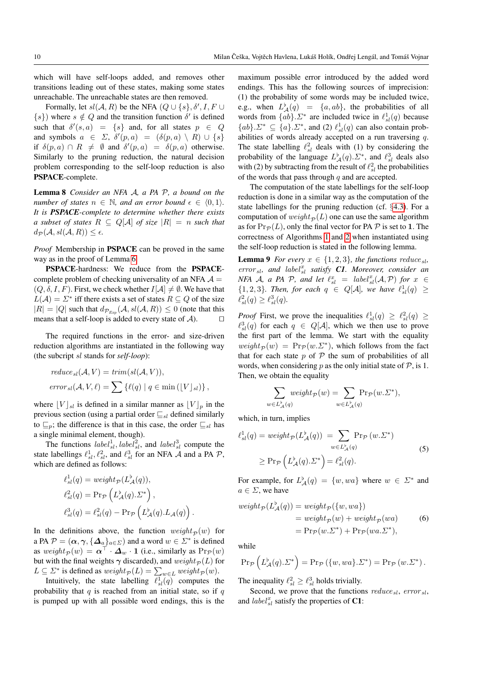which will have self-loops added, and removes other transitions leading out of these states, making some states unreachable. The unreachable states are then removed.

Formally, let  $sl(\mathcal{A}, R)$  be the NFA  $(Q \cup \{s\}, \delta', I, F \cup$  $\{s\}$ ) where  $s \notin Q$  and the transition function  $\delta'$  is defined such that  $\delta'(s, a) = \{s\}$  and, for all states  $p \in Q$ and symbols  $a \in \Sigma$ ,  $\delta'(p, a) = (\delta(p, a) \setminus R) \cup \{s\}$ if  $\delta(p, a) \cap R \neq \emptyset$  and  $\delta'(p, a) = \delta(p, a)$  otherwise. Similarly to the pruning reduction, the natural decision problem corresponding to the self-loop reduction is also PSPACE-complete.

Lemma 8 *Consider an NFA* A*, a PA* P*, a bound on the number of states*  $n \in \mathbb{N}$ *, and an error bound*  $\epsilon \in \langle 0, 1 \rangle$ *. It is PSPACE-complete to determine whether there exists a subset of states*  $R \subseteq Q[A]$  *of size*  $|R| = n$  *such that*  $d_{\mathcal{P}}(\mathcal{A}, sl(\mathcal{A}, R)) \leq \epsilon.$ 

*Proof* Membership in PSPACE can be proved in the same way as in the proof of Lemma [6.](#page-7-0)

PSPACE-hardness: We reduce from the PSPACEcomplete problem of checking universality of an NFA  $\mathcal{A} =$  $(Q, \delta, I, F)$ . First, we check whether  $I[A] \neq \emptyset$ . We have that  $L(\mathcal{A}) = \Sigma^*$  iff there exists a set of states  $R \subseteq Q$  of the size  $|R| = |Q|$  such that  $d_{\mathcal{P}_{Exp}}(\mathcal{A}, sl(\mathcal{A}, R)) \leq 0$  (note that this means that a self-loop is added to every state of  $A$ ).

The required functions in the error- and size-driven reduction algorithms are instantiated in the following way (the subcript sl stands for *self-loop*):

$$
reduce_{sl}(A, V) = trim(sl(A, V)),
$$
  
error<sub>sl</sub>(A, V, l) =  $\sum \{ \ell(q) \mid q \in \min ([V]_{sl}) \},$ 

where  $|V|_{sl}$  is defined in a similar manner as  $|V|_p$  in the previous section (using a partial order  $\mathcal{F}_{sl}$  defined similarly to  $\mathcal{L}_p$ ; the difference is that in this case, the order  $\mathcal{L}_{sl}$  has a single minimal element, though).

The functions  $label_{sl}^1, label_{sl}^2$ , and  $label_{sl}^3$  compute the state labellings  $\ell_{sl}^1$ ,  $\ell_{sl}^2$ , and  $\ell_{sl}^3$  for an NFA A and a PA  $P$ , which are defined as follows:

$$
\ell_{sl}^1(q) = weight_{\mathcal{P}}(L_{\mathcal{A}}^{\flat}(q)),
$$
  
\n
$$
\ell_{sl}^2(q) = \Pr_{\mathcal{P}}(L_{\mathcal{A}}^{\flat}(q). \Sigma^*),
$$
  
\n
$$
\ell_{sl}^3(q) = \ell_{sl}^2(q) - \Pr_{\mathcal{P}}(L_{\mathcal{A}}^{\flat}(q). L_{\mathcal{A}}(q)).
$$

In the definitions above, the function  $weight_{\mathcal{D}}(w)$  for a PA  $\mathcal{P} = (\alpha, \gamma, {\{\mathbf{\Delta}_a\}_{a \in \Sigma}})$  and a word  $w \in \Sigma^*$  is defined as weight $p(w) = \alpha^{\top} \cdot \Delta_w \cdot 1$  (i.e., similarly as  $Pr_{\mathcal{P}}(w)$ ) but with the final weights  $\gamma$  discarded), and  $weight_{\mathcal{P}}(L)$  for  $L \subseteq \Sigma^*$  is defined as  $weight_{\mathcal{P}}(L) = \sum_{w \in L} weight_{\mathcal{P}}(w)$ .

Intuitively, the state labelling  $\ell_{sl}^1(q)$  computes the probability that  $q$  is reached from an initial state, so if  $q$ is pumped up with all possible word endings, this is the

maximum possible error introduced by the added word endings. This has the following sources of imprecision: (1) the probability of some words may be included twice, e.g., when  $L^{\flat}_{\mathcal{A}}(q) = \{a, ab\}$ , the probabilities of all words from  $\{ab\}\,\mathcal{L}^*$  are included twice in  $\ell_{sl}^1(q)$  because  $\{ab\}\_\Sigma^* \subseteq \{a\}\_\Sigma^*$ , and (2)  $\ell_{sl}^1(q)$  can also contain probabilities of words already accepted on a run traversing q. The state labelling  $\ell_{sl}^2$  deals with (1) by considering the probability of the language  $L^{\flat}_{\mathcal{A}}(q)$ .  $\Sigma^*$ , and  $\ell^3_{sl}$  deals also with (2) by subtracting from the result of  $\ell_{sl}^2$  the probabilities of the words that pass through  $q$  and are accepted.

The computation of the state labellings for the self-loop reduction is done in a similar way as the computation of the state labellings for the pruning reduction (cf. §[4.3\)](#page-7-1). For a computation of  $weight_{\mathcal{P}}(L)$  one can use the same algorithm as for  $Pr_{\mathcal{P}}(L)$ , only the final vector for PA  $\mathcal{P}$  is set to 1. The correctness of Algorithms [1](#page-6-0) and [2](#page-6-2) when instantiated using the self-loop reduction is stated in the following lemma.

**Lemma 9** *For every*  $x \in \{1, 2, 3\}$ *, the functions reduce*<sub>sl</sub>*,* error<sub>sl</sub>, and label<sup>x</sup><sub>sl</sub> satisfy **C1***. Moreover, consider an NFA A*, *a PA P*, *and let*  $\ell_{sl}^x$  = *label*<sup>*x*</sup><sub>*sl</sub>*(*A, P*) *for*  $x \in$ </sub>  ${1, 2, 3}$ *. Then, for each*  $q \in Q[A]$ *, we have*  $\ell_{sl}^1(q) \geq$  $\ell_{sl}^2(q) \geq \ell_{sl}^3(q)$ .

*Proof* First, we prove the inequalities  $\ell_{sl}^1(q) \geq \ell_{sl}^2(q) \geq$  $\ell_{sl}^3(q)$  for each  $q \in Q[A]$ , which we then use to prove the first part of the lemma. We start with the equality  $weight_{\mathcal{P}}(w) = \Pr_{\mathcal{P}}(w.\Sigma^*)$ , which follows from the fact that for each state  $p$  of  $P$  the sum of probabilities of all words, when considering p as the only initial state of  $P$ , is 1. Then, we obtain the equality

$$
\sum_{w \in L^{\flat}_{\mathcal{A}}(q)} weight_{\mathcal{P}}(w) = \sum_{w \in L^{\flat}_{\mathcal{A}}(q)} Pr_{\mathcal{P}}(w.\mathcal{L}^*),
$$

which, in turn, implies

$$
\ell_{sl}^{1}(q) = weight_{\mathcal{P}}(L_{\mathcal{A}}^{b}(q)) = \sum_{w \in L_{\mathcal{A}}^{b}(q)} \Pr_{\mathcal{P}}(w.\Sigma^{*})
$$
  
\n
$$
\geq \Pr_{\mathcal{P}}(L_{\mathcal{A}}^{b}(q).\Sigma^{*}) = \ell_{sl}^{2}(q).
$$
\n(5)

For example, for  $L^{\flat}_{\mathcal{A}}(q) = \{w, wa\}$  where  $w \in \Sigma^*$  and  $a \in \Sigma$ , we have

$$
weight_{\mathcal{P}}(L_{\mathcal{A}}^{b}(q)) = weight_{\mathcal{P}}(\{w, wa\})
$$
  
= weight\_{\mathcal{P}}(w) + weight\_{\mathcal{P}}(wa) (6)  
= Pr\_{\mathcal{P}}(w.\Sigma^{\*}) + Pr\_{\mathcal{P}}(wa.\Sigma^{\*}),

while

$$
\Pr_{\mathcal{P}}\left(L_{\mathcal{A}}^{b}(q).\Sigma^{*}\right) = \Pr_{\mathcal{P}}\left(\{w, wa\}.\Sigma^{*}\right) = \Pr_{\mathcal{P}}\left(w.\Sigma^{*}\right).
$$

The inequality  $\ell_{sl}^2 \geq \ell_{sl}^3$  holds trivially.

Second, we prove that the functions  $reduce_{sl}$ , error  $_{sl}$ , and  $label_{sl}^{x}$  satisfy the properties of C1: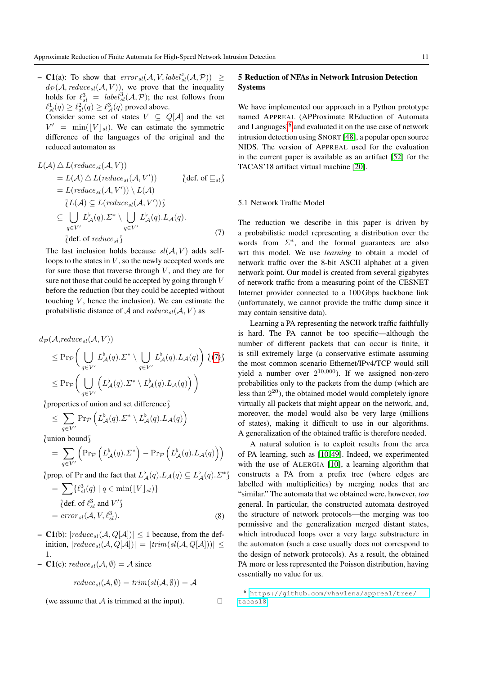- C1(a): To show that  $error_{sl}(A, V, label_{sl}^{x}(A, P)) \ge$  $d_P(A, reduce_{sl}(A, V))$ , we prove that the inequality holds for  $\ell_{sl}^3 = label_{sl}^3(\mathcal{A}, \mathcal{P})$ ; the rest follows from  $\ell_{sl}^1(q) \geq \ell_{sl}^2(q) \geq \ell_{sl}^3(q)$  proved above. Consider some set of states  $V \subseteq Q[A]$  and the set  $V' = \min([V]_{sl})$ . We can estimate the symmetric difference of the languages of the original and the reduced automaton as

<span id="page-10-0"></span>
$$
L(\mathcal{A}) \triangle L(reduce_{sl}(\mathcal{A}, V))
$$
  
= L(\mathcal{A}) \triangle L(reduce\_{sl}(\mathcal{A}, V')) \t (def. of  $\sqsubseteq_{sl}$ )  
= L(reduce\_{sl}(\mathcal{A}, V')) \setminus L(\mathcal{A})  
\t (L(\mathcal{A}) \subseteq L(reduce\_{sl}(\mathcal{A}, V'))  
\t \subseteq \bigcup\_{q \in V'} L\_{\mathcal{A}}^{b}(q). \Sigma^{\*} \setminus \bigcup\_{q \in V'} L\_{\mathcal{A}}^{b}(q). L\_{\mathcal{A}}(q).  
\t (7)  
\t (def. of reduce<sub>sl</sub>)

(def. of reduce<sub>sl</sub>)<br>The last inclusion holds because  $sl(A, V)$  adds selfloops to the states in  $V$ , so the newly accepted words are for sure those that traverse through  $V$ , and they are for sure not those that could be accepted by going through  $V$ before the reduction (but they could be accepted without touching  $V$ , hence the inclusion). We can estimate the probabilistic distance of A and  $reduce_{sl}(A, V)$  as

 $d_{\mathcal{P}}(\mathcal{A}, reduce_{sl}(\mathcal{A}, V))$ 

$$
\leq \Pr_{\mathcal{P}}\left(\bigcup_{q\in V'} L^{\flat}_{\mathcal{A}}(q). \Sigma^{*} \setminus \bigcup_{q\in V'} L^{\flat}_{\mathcal{A}}(q). L_{\mathcal{A}}(q)\right) \langle (7)\rangle
$$
  

$$
\leq \Pr_{\mathcal{P}}\left(\bigcup_{q\in V'} \left(L^{\flat}_{\mathcal{A}}(q). \Sigma^{*} \setminus L^{\flat}_{\mathcal{A}}(q). L_{\mathcal{A}}(q)\right)\right)
$$

 $\gamma$  properties of union and set difference $\gamma$ 

$$
\leq \sum_{q \in V'} \Pr_{\mathcal{P}} \left( L^{\flat}_{\mathcal{A}}(q). \Sigma^* \setminus L^{\flat}_{\mathcal{A}}(q). L_{\mathcal{A}}(q) \right)
$$

 $\lambda$ union bound

$$
= \sum_{q \in V'} \left( \Pr_{\mathcal{P}} \left( L^{\flat}_{\mathcal{A}}(q). \Sigma^* \right) - \Pr_{\mathcal{P}} \left( L^{\flat}_{\mathcal{A}}(q). L_{\mathcal{A}}(q) \right) \right)
$$

{prop. of Pr and the fact that  $L^{\flat}_{\mathcal{A}}(q)$ .  $L_{\mathcal{A}}(q) \subseteq L^{\flat}_{\mathcal{A}}(q)$ .  $\Sigma^*$  }

$$
= \sum \{ \ell_{sl}^3(q) \mid q \in \min(|V|_{sl}) \}
$$
  
(def. of  $\ell_{sl}^3$  and V')  

$$
= error_{sl}(\mathcal{A}, V, \ell_{sl}^3).
$$
 (8)

- C1(b):  $|reduce_{sl}(A, Q[A])| \leq 1$  because, from the definition,  $|reduce_{sl}(A, Q[A])| = |trim(sl(A, Q[A]))| \leq$ 1.
- **C1**(c):  $reduce_{sl}(A, \emptyset) = A$  since

$$
reduce_{sl}(\mathcal{A}, \emptyset) = trim(sl(\mathcal{A}, \emptyset)) = \mathcal{A}
$$

(we assume that  $A$  is trimmed at the input).  $\Box$ 

# 5 Reduction of NFAs in Network Intrusion Detection Systems

We have implemented our approach in a Python prototype named APPREAL (APProximate REduction of Automata and Languages)<sup>[6](#page-10-1)</sup> and evaluated it on the use case of network intrusion detection using SNORT [\[48\]](#page-15-0), a popular open source NIDS. The version of APPREAL used for the evaluation in the current paper is available as an artifact [\[52\]](#page-15-26) for the TACAS'18 artifact virtual machine [\[20\]](#page-14-21).

# 5.1 Network Traffic Model

The reduction we describe in this paper is driven by a probabilistic model representing a distribution over the words from  $\Sigma^*$ , and the formal guarantees are also wrt this model. We use *learning* to obtain a model of network traffic over the 8-bit ASCII alphabet at a given network point. Our model is created from several gigabytes of network traffic from a measuring point of the CESNET Internet provider connected to a 100 Gbps backbone link (unfortunately, we cannot provide the traffic dump since it may contain sensitive data).

Learning a PA representing the network traffic faithfully is hard. The PA cannot be too specific—although the number of different packets that can occur is finite, it is still extremely large (a conservative estimate assuming the most common scenario Ethernet/IPv4/TCP would still yield a number over  $2^{10,000}$ ). If we assigned non-zero probabilities only to the packets from the dump (which are less than  $2^{20}$ ), the obtained model would completely ignore virtually all packets that might appear on the network, and, moreover, the model would also be very large (millions of states), making it difficult to use in our algorithms. A generalization of the obtained traffic is therefore needed.

A natural solution is to exploit results from the area of PA learning, such as [\[10,](#page-14-22) [49\]](#page-15-27). Indeed, we experimented with the use of ALERGIA [\[10\]](#page-14-22), a learning algorithm that constructs a PA from a prefix tree (where edges are labelled with multiplicities) by merging nodes that are "similar." The automata that we obtained were, however, *too* general. In particular, the constructed automata destroyed the structure of network protocols—the merging was too permissive and the generalization merged distant states, which introduced loops over a very large substructure in the automaton (such a case usually does not correspond to the design of network protocols). As a result, the obtained PA more or less represented the Poisson distribution, having essentially no value for us.

<span id="page-10-1"></span><sup>6</sup> [https://github.com/vhavlena/appreal/tree/](https://github.com/vhavlena/appreal/tree/tacas18) [tacas18](https://github.com/vhavlena/appreal/tree/tacas18)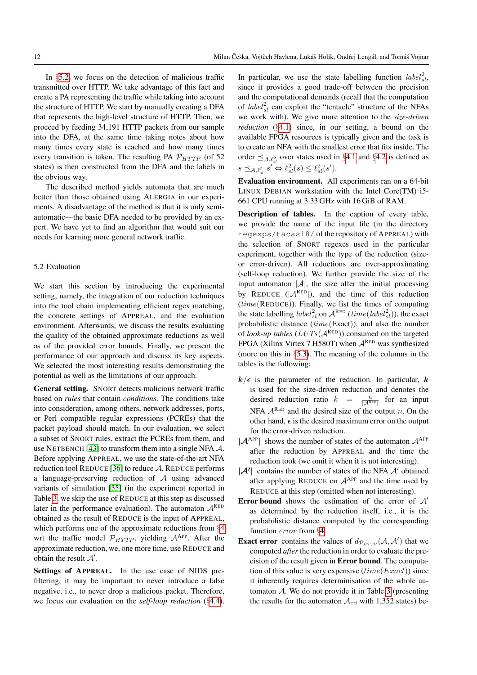In §[5.2,](#page-11-0) we focus on the detection of malicious traffic transmitted over HTTP. We take advantage of this fact and create a PA representing the traffic while taking into account the structure of HTTP. We start by manually creating a DFA that represents the high-level structure of HTTP. Then, we proceed by feeding 34,191 HTTP packets from our sample into the DFA, at the same time taking notes about how many times every state is reached and how many times every transition is taken. The resulting PA  $\mathcal{P}_{HTTP}$  (of 52 states) is then constructed from the DFA and the labels in the obvious way.

The described method yields automata that are much better than those obtained using ALERGIA in our experiments. A disadvantage of the method is that it is only semiautomatic—the basic DFA needed to be provided by an expert. We have yet to find an algorithm that would suit our needs for learning more general network traffic.

# <span id="page-11-0"></span>5.2 Evaluation

We start this section by introducing the experimental setting, namely, the integration of our reduction techniques into the tool chain implementing efficient regex matching, the concrete settings of APPREAL, and the evaluation environment. Afterwards, we discuss the results evaluating the quality of the obtained approximate reductions as well as of the provided error bounds. Finally, we present the performance of our approach and discuss its key aspects. We selected the most interesting results demonstrating the potential as well as the limitations of our approach.

General setting. SNORT detects malicious network traffic based on *rules* that contain *conditions*. The conditions take into consideration, among others, network addresses, ports, or Perl compatible regular expressions (PCREs) that the packet payload should match. In our evaluation, we select a subset of SNORT rules, extract the PCREs from them, and use NETBENCH [\[43\]](#page-15-14) to transform them into a single NFA  $\mathcal{A}$ . Before applying APPREAL, we use the state-of-the-art NFA reduction tool REDUCE [\[36\]](#page-15-28) to reduce A. REDUCE performs a language-preserving reduction of A using advanced variants of simulation [\[35\]](#page-15-20) (in the experiment reported in Table [3,](#page-13-0) we skip the use of REDUCE at this step as discussed later in the performance evaluation). The automaton  $A^{RED}$ obtained as the result of REDUCE is the input of APPREAL, which performs one of the approximate reductions from §[4](#page-5-2) wrt the traffic model  $\mathcal{P}_{HTTP}$ , yielding  $\mathcal{A}^{APP}$ . After the approximate reduction, we, one more time, use REDUCE and obtain the result  $A'$ .

Settings of APPREAL. In the use case of NIDS prefiltering, it may be important to never introduce a false negative, i.e., to never drop a malicious packet. Therefore, we focus our evaluation on the *self-loop reduction* (§[4.4\)](#page-8-1).

In particular, we use the state labelling function  $label_{sl}^2$ , since it provides a good trade-off between the precision and the computational demands (recall that the computation of *label*<sup>2</sup><sub>sl</sub> can exploit the "tentacle" structure of the NFAs we work with). We give more attention to the *size-driven reduction* (§[4.1\)](#page-6-3) since, in our setting, a bound on the available FPGA resources is typically given and the task is to create an NFA with the smallest error that fits inside. The order  $\preceq_{\mathcal{A},\ell_{sl}^2}$  over states used in §[4.1](#page-6-3) and §[4.2](#page-6-4) is defined as  $s \preceq_{\mathcal{A}, \ell_{sl}^2} s' \Leftrightarrow \ell_{sl}^2(s) \leq \ell_{sl}^2(s').$ 

Evaluation environment. All experiments ran on a 64-bit LINUX DEBIAN workstation with the Intel Core(TM) i5- 661 CPU running at 3.33 GHz with 16 GiB of RAM.

Description of tables. In the caption of every table, we provide the name of the input file (in the directory regexps/tacas18/ of the repository of APPREAL) with the selection of SNORT regexes used in the particular experiment, together with the type of the reduction (sizeor error-driven). All reductions are over-approximating (self-loop reduction). We further provide the size of the input automaton  $|\mathcal{A}|$ , the size after the initial processing by REDUCE ( $|A^{RED}|$ ), and the time of this reduction  $(time(REDUCE))$ . Finally, we list the times of computing the state labelling  $label_{sl}^2$  on  $\mathcal{A}^{\text{RED}}$  ( $time(label_{sl}^2)$ ), the exact probabilistic distance  $(time(Exact))$ , and also the number of *look-up tables* ( $LUTs(\mathcal{A}^{\text{RED}})$ ) consumed on the targeted FPGA (Xilinx Virtex 7 H580T) when  $A^{RED}$  was synthesized (more on this in §[5.3\)](#page-13-1). The meaning of the columns in the tables is the following:

- $k/\epsilon$  is the parameter of the reduction. In particular, k is used for the size-driven reduction and denotes the desired reduction ratio  $k = \frac{n}{|A^{RED}|}$  for an input NFA  $A^{RED}$  and the desired size of the output n. On the other hand,  $\epsilon$  is the desired maximum error on the output for the error-driven reduction.
- $|\mathcal{A}^{\text{APP}}|$  shows the number of states of the automaton  $\mathcal{A}^{\text{APP}}$ after the reduction by APPREAL and the time the reduction took (we omit it when it is not interesting).
- $|\mathcal{A}'|$  contains the number of states of the NFA  $\mathcal{A}'$  obtained after applying REDUCE on  $A^{APP}$  and the time used by REDUCE at this step (omitted when not interesting).
- **Error bound** shows the estimation of the error of  $A'$ as determined by the reduction itself, i.e., it is the probabilistic distance computed by the corresponding function error from §[4.](#page-5-2)
- **Exact error** contains the values of  $d_{P_{HTTP}}(\mathcal{A}, \mathcal{A}')$  that we computed *after* the reduction in order to evaluate the precision of the result given in Error bound. The computation of this value is very expensive  $(time(Exact))$  since it inherently requires determinisation of the whole automaton  $A$ . We do not provide it in Table [3](#page-13-0) (presenting the results for the automaton  $A_{\text{bd}}$  with 1,352 states) be-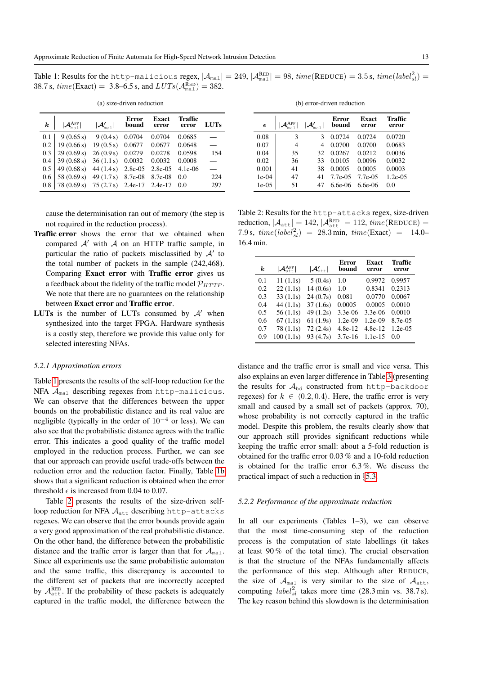<span id="page-12-0"></span>Table 1: Results for the <code>http-malicious</code> regex,  $|\mathcal{A}_{\text{mal}}| = 249$ ,  $|\mathcal{A}_{\text{mal}}^{\text{RED}}| = 98$ ,  $\mathit{time}(\text{REDUCE}) = 3.5 \text{ s}, \mathit{time}(\mathit{label}^2_{sl}) = 16$ 38.7 s,  $time(\text{Exact}) = 3.8{\text -}6.5 \text{ s}$ , and  $LUTs(\mathcal{A}_{\text{mal}}^{\text{RED}}) = 382$ .

(a) size-driven reduction

| $\boldsymbol{k}$ | $ \mathcal{A}_{\text{\tiny{mal}}}^{\text{APP}} $ $ \mathcal{A}_{\text{\tiny{mal}}}^{\prime} $ | Error<br>bound | <b>Exact</b><br>error | <b>Traffic</b><br>error | <b>LUTs</b>              |
|------------------|-----------------------------------------------------------------------------------------------|----------------|-----------------------|-------------------------|--------------------------|
|                  | $0.1$   9 (0.65 s) 9 (0.4 s) 0.0704                                                           |                | 0.0704                | 0.0685                  |                          |
|                  | $0.2 \mid 19(0.66 s)$ 19 (0.5 s) 0.0677                                                       |                | 0.0677                | 0.0648                  | $\overline{\phantom{0}}$ |
| $0.3 \perp$      | $29(0.69 s)$ $26(0.9 s)$ $0.0279$                                                             |                | 0.0278                | 0.0598                  | 154                      |
|                  | $0.4$   39 (0.68 s) 36 (1.1 s) 0.0032                                                         |                | 0.0032                | 0.0008                  | $\overline{\phantom{0}}$ |
|                  | $0.5$   49 (0.68 s) 44 (1.4 s) 2.8e-05                                                        |                | 2.8e-05 4.1e-06       |                         |                          |
|                  | $0.6$   58 (0.69 s) 49 (1.7 s) 8.7e-08 8.7e-08 0.0                                            |                |                       |                         | 224                      |
|                  | $0.8$   78 (0.69 s) 75 (2.7 s) 2.4e-17 2.4e-17 0.0                                            |                |                       |                         | 297                      |

cause the determinisation ran out of memory (the step is not required in the reduction process).

- Traffic error shows the error that we obtained when compared  $A'$  with  $A$  on an HTTP traffic sample, in particular the ratio of packets misclassified by  $A'$  to the total number of packets in the sample (242,468). Comparing Exact error with Traffic error gives us a feedback about the fidelity of the traffic model  $\mathcal{P}_{HTTP}$ . We note that there are no guarantees on the relationship between Exact error and Traffic error.
- LUTs is the number of LUTs consumed by  $A'$  when synthesized into the target FPGA. Hardware synthesis is a costly step, therefore we provide this value only for selected interesting NFAs.

#### *5.2.1 Approximation errors*

Table [1](#page-12-0) presents the results of the self-loop reduction for the NFA  $A_{\text{mal}}$  describing regexes from http-malicious. We can observe that the differences between the upper bounds on the probabilistic distance and its real value are negligible (typically in the order of  $10^{-4}$  or less). We can also see that the probabilistic distance agrees with the traffic error. This indicates a good quality of the traffic model employed in the reduction process. Further, we can see that our approach can provide useful trade-offs between the reduction error and the reduction factor. Finally, Table [1b](#page-12-0) shows that a significant reduction is obtained when the error threshold  $\epsilon$  is increased from 0.04 to 0.07.

Table [2](#page-12-1) presents the results of the size-driven selfloop reduction for NFA  $A_{\text{att}}$  describing http-attacks regexes. We can observe that the error bounds provide again a very good approximation of the real probabilistic distance. On the other hand, the difference between the probabilistic distance and the traffic error is larger than that for  $\mathcal{A}_{\text{mal}}$ . Since all experiments use the same probabilistic automaton and the same traffic, this discrepancy is accounted to the different set of packets that are incorrectly accepted by  $A_{\text{att}}^{\text{RED}}$ . If the probability of these packets is adequately captured in the traffic model, the difference between the

(b) error-driven reduction

| $\epsilon$ | APP | $ \mathcal{A}'_{\dots} $ | Error<br>bound | Exact<br>error | Traffic<br>error |
|------------|-----|--------------------------|----------------|----------------|------------------|
| 0.08       | 3   | 3                        | 0.0724         | 0.0724         | 0.0720           |
| 0.07       | 4   | 4                        | 0.0700         | 0.0700         | 0.0683           |
| 0.04       | 35  | 32                       | 0.0267         | 0.0212         | 0.0036           |
| 0.02       | 36  | 33                       | 0.0105         | 0.0096         | 0.0032           |
| 0.001      | 41  | 38                       | 0.0005         | 0.0005         | 0.0003           |
| 1e-04      | 47  | 41                       | 7.7e-05        | 7.7e-05        | $1.2e-0.5$       |
| $1e-0.5$   | 51  | 47                       | 6.6e-06        | 6.6e-06        | 0.0              |

<span id="page-12-1"></span>Table 2: Results for the http-attacks regex, size-driven reduction,  $|\mathcal{A}_{\text{att}}| = 142$ ,  $|\mathcal{A}_{\text{att}}^{\text{RED}}| = 112$ ,  $\text{time}(\text{REDUCE}) =$ 7.9 s,  $time(label_{sl}^2) = 28.3$  min,  $time(Exact) = 14.0$ 16.4 min.

| k   | $ \mathcal{A}_\text{a++}^\text{APP} $ | $ \mathcal{A}'_{\mathsf{a}++} $ | Error<br>bound | Exact<br>error | Traffic<br>error |
|-----|---------------------------------------|---------------------------------|----------------|----------------|------------------|
| 0.1 | 11(1.1s)                              | 5(0.4s)                         | 1.0            | 0.9972         | 0.9957           |
| 0.2 | 22(1.1s)                              | 14(0.6s)                        | 1.0            | 0.8341         | 0.2313           |
| 0.3 | 33(1.1s)                              | 24(0.7s)                        | 0.081          | 0.0770         | 0.0067           |
| 0.4 | 44(1.1s)                              | 37(1.6s)                        | 0.0005         | 0.0005         | 0.0010           |
| 0.5 | 56(1.1s)                              | 49 $(1.2s)$                     | $3.3e-06$      | $3.3e-06$      | 0.0010           |
| 0.6 | 67(1.1s)                              | 61(1.9s)                        | $1.2e-09$      | $1.2e-09$      | 8.7e-05          |
| 0.7 | 78 (1.1s)                             | 72(2.4s)                        | $4.8e-12$      | 4.8e-12        | $1.2e-0.5$       |
| 0.9 | 100(1.1s)                             | 93 (4.7s)                       | $3.7e-16$      | $1.1e-15$      | 0.0              |

distance and the traffic error is small and vice versa. This also explains an even larger difference in Table [3](#page-13-0) (presenting the results for  $A_{\text{bd}}$  constructed from http-backdoor regexes) for  $k \in \langle 0.2, 0.4 \rangle$ . Here, the traffic error is very small and caused by a small set of packets (approx. 70), whose probability is not correctly captured in the traffic model. Despite this problem, the results clearly show that our approach still provides significant reductions while keeping the traffic error small: about a 5-fold reduction is obtained for the traffic error 0.03 % and a 10-fold reduction is obtained for the traffic error 6.3 %. We discuss the practical impact of such a reduction in §[5.3.](#page-13-1)

#### *5.2.2 Performance of the approximate reduction*

In all our experiments (Tables  $1-3$ ), we can observe that the most time-consuming step of the reduction process is the computation of state labellings (it takes at least 90 % of the total time). The crucial observation is that the structure of the NFAs fundamentally affects the performance of this step. Although after REDUCE, the size of  $A_{\text{mal}}$  is very similar to the size of  $A_{\text{att}}$ , computing  $label_{sl}^2$  takes more time (28.3 min vs. 38.7 s). The key reason behind this slowdown is the determinisation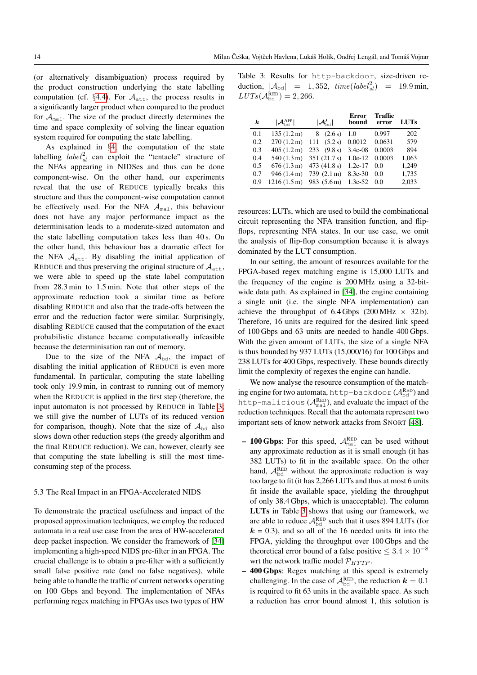(or alternatively disambiguation) process required by the product construction underlying the state labelling computation (cf.  $\S 4.4$ ). For  $\mathcal{A}_{\text{att}}$ , the process results in a significantly larger product when compared to the product for  $A_{\text{mal}}$ . The size of the product directly determines the time and space complexity of solving the linear equation system required for computing the state labelling.

As explained in §[4,](#page-5-2) the computation of the state labelling  $label_{sl}^2$  can exploit the "tentacle" structure of the NFAs appearing in NIDSes and thus can be done component-wise. On the other hand, our experiments reveal that the use of REDUCE typically breaks this structure and thus the component-wise computation cannot be effectively used. For the NFA  $A_{\text{mal}}$ , this behaviour does not have any major performance impact as the determinisation leads to a moderate-sized automaton and the state labelling computation takes less than 40 s. On the other hand, this behaviour has a dramatic effect for the NFA  $A_{\text{att}}$ . By disabling the initial application of REDUCE and thus preserving the original structure of  $A_{\text{att}}$ , we were able to speed up the state label computation from 28.3 min to 1.5 min. Note that other steps of the approximate reduction took a similar time as before disabling REDUCE and also that the trade-offs between the error and the reduction factor were similar. Surprisingly, disabling REDUCE caused that the computation of the exact probabilistic distance became computationally infeasible because the determinisation ran out of memory.

Due to the size of the NFA  $A_{\text{bd}}$ , the impact of disabling the initial application of REDUCE is even more fundamental. In particular, computing the state labelling took only 19.9 min, in contrast to running out of memory when the REDUCE is applied in the first step (therefore, the input automaton is not processed by REDUCE in Table [3;](#page-13-0) we still give the number of LUTs of its reduced version for comparison, though). Note that the size of  $A_{\text{bd}}$  also slows down other reduction steps (the greedy algorithm and the final REDUCE reduction). We can, however, clearly see that computing the state labelling is still the most timeconsuming step of the process.

#### <span id="page-13-1"></span>5.3 The Real Impact in an FPGA-Accelerated NIDS

To demonstrate the practical usefulness and impact of the proposed approximation techniques, we employ the reduced automata in a real use case from the area of HW-accelerated deep packet inspection. We consider the framework of [\[34\]](#page-15-3) implementing a high-speed NIDS pre-filter in an FPGA. The crucial challenge is to obtain a pre-filter with a sufficiently small false positive rate (and no false negatives), while being able to handle the traffic of current networks operating on 100 Gbps and beyond. The implementation of NFAs performing regex matching in FPGAs uses two types of HW

<span id="page-13-0"></span>Table 3: Results for http-backdoor, size-driven reduction,  $|\mathcal{A}_{\text{bd}}| = 1,352$ ,  $\text{time}(\text{label}^2_{\text{sl}}) = 19.9 \text{ min}$ ,  $LUTs(\mathcal{A}_{\text{bd}}^{\text{RED}})=2,266.$ 

| $\boldsymbol{k}$ | $ \mathcal{A}^{\mathrm{APP}}_{\scriptscriptstyle{\mathrm{bad}}} $ | $ \mathcal{A}'_{\text{hol}} $ | Error<br>bound | Traffic<br>error | <b>LUTs</b> |
|------------------|-------------------------------------------------------------------|-------------------------------|----------------|------------------|-------------|
| 0.1              | $135(1.2 \text{ m})$                                              | (2.6 s)<br>8 <sup>8</sup>     | 1.0            | 0.997            | 202         |
| 0.2              | $270(1.2 \text{ m})$                                              | (5.2 s)<br>111                | 0.0012         | 0.0631           | 579         |
| 0.3              | $405(1.2 \text{ m})$                                              | 233<br>(9.8 s)                | $3.4e-08$      | 0.0003           | 894         |
| 0.4              | $540(1.3 \text{ m})$                                              | 351(21.7 s)                   | $1.0e-12$      | 0.0003           | 1,063       |
| 0.5              | $676(1.3 \text{ m})$                                              | 473 $(41.8 s)$                | $1.2e-17$      | 0.0              | 1,249       |
| 0.7              | $946(1.4 \text{ m})$                                              | $739(2.1 \text{ m})$          | $8.3e-30$      | 0.0              | 1,735       |
| 0.9              | 1216(1.5 m)                                                       | 983 (5.6m)                    | 1.3e-52        | 0.0              | 2,033       |

resources: LUTs, which are used to build the combinational circuit representing the NFA transition function, and flipflops, representing NFA states. In our use case, we omit the analysis of flip-flop consumption because it is always dominated by the LUT consumption.

In our setting, the amount of resources available for the FPGA-based regex matching engine is 15,000 LUTs and the frequency of the engine is 200 MHz using a 32-bitwide data path. As explained in [\[34\]](#page-15-3), the engine containing a single unit (i.e. the single NFA implementation) can achieve the throughput of 6.4 Gbps (200 MHz  $\times$  32 b). Therefore, 16 units are required for the desired link speed of 100 Gbps and 63 units are needed to handle 400 Gbps. With the given amount of LUTs, the size of a single NFA is thus bounded by 937 LUTs (15,000/16) for 100 Gbps and 238 LUTs for 400 Gbps, respectively. These bounds directly limit the complexity of regexes the engine can handle.

We now analyse the resource consumption of the matching engine for two automata, http-backdoor  $(\mathcal{A}_{\text{bd}}^{\text{RED}})$  and http-malicious  $(\mathcal{A}_{\text{mal}}^{\text{RED}})$ , and evaluate the impact of the reduction techniques. Recall that the automata represent two important sets of know network attacks from SNORT [\[48\]](#page-15-0).

- 100 Gbps: For this speed,  $A_{\text{mal}}^{\text{RED}}$  can be used without any approximate reduction as it is small enough (it has 382 LUTs) to fit in the available space. On the other hand,  $A_{\text{bd}}^{\text{RED}}$  without the approximate reduction is way too large to fit (it has 2,266 LUTs and thus at most 6 units fit inside the available space, yielding the throughput of only 38.4 Gbps, which is unacceptable). The column LUTs in Table [3](#page-13-0) shows that using our framework, we are able to reduce  $A_{\text{bd}}^{\text{RED}}$  such that it uses 894 LUTs (for  $k = 0.3$ ), and so all of the 16 needed units fit into the FPGA, yielding the throughput over 100 Gbps and the theoretical error bound of a false positive  $\leq 3.4 \times 10^{-8}$ wrt the network traffic model  $\mathcal{P}_{HTTP}$ .
- 400 Gbps: Regex matching at this speed is extremely challenging. In the case of  $A_{\text{bd}}^{\text{RED}}$ , the reduction  $k = 0.1$ is required to fit 63 units in the available space. As such a reduction has error bound almost 1, this solution is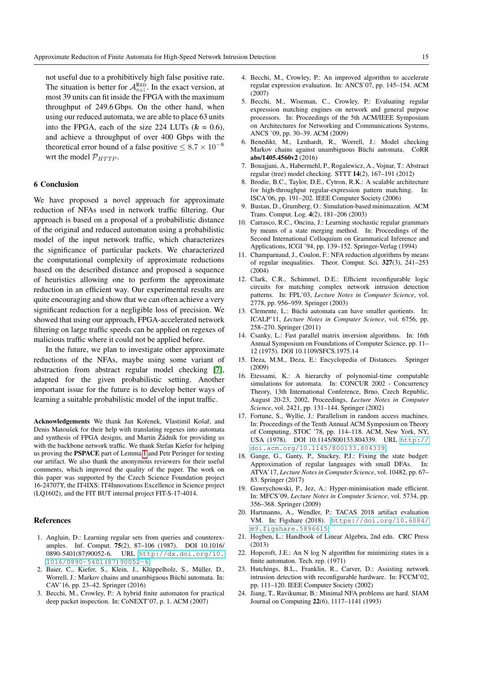not useful due to a prohibitively high false positive rate. The situation is better for  $A_{\text{mal}}^{\text{RED}}$ . In the exact version, at most 39 units can fit inside the FPGA with the maximum throughput of 249.6 Gbps. On the other hand, when using our reduced automata, we are able to place 63 units into the FPGA, each of the size 224 LUTs  $(k = 0.6)$ , and achieve a throughput of over 400 Gbps with the theoretical error bound of a false positive  $\leq 8.7 \times 10^{-8}$ wrt the model  $\mathcal{P}_{HTTP}$ .

# 6 Conclusion

We have proposed a novel approach for approximate reduction of NFAs used in network traffic filtering. Our approach is based on a proposal of a probabilistic distance of the original and reduced automaton using a probabilistic model of the input network traffic, which characterizes the significance of particular packets. We characterized the computational complexity of approximate reductions based on the described distance and proposed a sequence of heuristics allowing one to perform the approximate reduction in an efficient way. Our experimental results are quite encouraging and show that we can often achieve a very significant reduction for a negligible loss of precision. We showed that using our approach, FPGA-accelerated network filtering on large traffic speeds can be applied on regexes of malicious traffic where it could not be applied before.

In the future, we plan to investigate other approximate reductions of the NFAs, maybe using some variant of abstraction from abstract regular model checking [\[7\]](#page-14-23), adapted for the given probabilistic setting. Another important issue for the future is to develop better ways of learning a suitable probabilistic model of the input traffic.

Acknowledgements We thank Jan Kořenek, Vlastimil Košař, and Denis Matoušek for their help with translating regexes into automata and synthesis of FPGA designs, and Martin Žádník for providing us with the backbone network traffic. We thank Stefan Kiefer for helping us proving the PSPACE part of Lemma [1](#page-3-2) and Petr Peringer for testing our artifact. We also thank the anonymous reviewers for their useful comments, which improved the quality of the paper. The work on this paper was supported by the Czech Science Foundation project 16-24707Y, the IT4IXS: IT4Innovations Excellence in Science project (LQ1602), and the FIT BUT internal project FIT-S-17-4014.

### References

- <span id="page-14-8"></span>1. Angluin, D.: Learning regular sets from queries and counterexamples. Inf. Comput. 75(2), 87–106 (1987). DOI 10.1016/ 0890-5401(87)90052-6. URL [http://dx.doi.org/10.](http://dx.doi.org/10.1016/0890-5401(87)90052-6) [1016/0890-5401\(87\)90052-6](http://dx.doi.org/10.1016/0890-5401(87)90052-6)
- <span id="page-14-16"></span>2. Baier, C., Kiefer, S., Klein, J., Klüppelholz, S., Müller, D., Worrell, J.: Markov chains and unambiguous Büchi automata. In: CAV'16, pp. 23–42. Springer (2016)
- <span id="page-14-1"></span>3. Becchi, M., Crowley, P.: A hybrid finite automaton for practical deep packet inspection. In: CoNEXT'07, p. 1. ACM (2007)
- <span id="page-14-2"></span>4. Becchi, M., Crowley, P.: An improved algorithm to accelerate regular expression evaluation. In: ANCS'07, pp. 145–154. ACM (2007)
- <span id="page-14-0"></span>5. Becchi, M., Wiseman, C., Crowley, P.: Evaluating regular expression matching engines on network and general purpose processors. In: Proceedings of the 5th ACM/IEEE Symposium on Architectures for Networking and Communications Systems, ANCS '09, pp. 30–39. ACM (2009)
- <span id="page-14-17"></span>6. Benedikt, M., Lenhardt, R., Worrell, J.: Model checking Markov chains against unambiguous Büchi automata. CoRR abs/1405.4560v2 (2016)
- <span id="page-14-23"></span>7. Bouajjani, A., Habermehl, P., Rogalewicz, A., Vojnar, T.: Abstract regular (tree) model checking. STTT 14(2), 167–191 (2012)
- <span id="page-14-3"></span>8. Brodie, B.C., Taylor, D.E., Cytron, R.K.: A scalable architecture for high-throughput regular-expression pattern matching. In: ISCA'06, pp. 191–202. IEEE Computer Society (2006)
- <span id="page-14-11"></span>9. Bustan, D., Grumberg, O.: Simulation-based minimazation. ACM Trans. Comput. Log. 4(2), 181–206 (2003)
- <span id="page-14-22"></span>10. Carrasco, R.C., Oncina, J.: Learning stochastic regular grammars by means of a state merging method. In: Proceedings of the Second International Colloquium on Grammatical Inference and Applications, ICGI '94, pp. 139–152. Springer-Verlag (1994)
- <span id="page-14-12"></span>11. Champarnaud, J., Coulon, F.: NFA reduction algorithms by means of regular inequalities. Theor. Comput. Sci. 327(3), 241–253 (2004)
- <span id="page-14-4"></span>12. Clark, C.R., Schimmel, D.E.: Efficient reconfigurable logic circuits for matching complex network intrusion detection patterns. In: FPL'03, *Lecture Notes in Computer Science*, vol. 2778, pp. 956–959. Springer (2003)
- <span id="page-14-14"></span>13. Clemente, L.: Büchi automata can have smaller quotients. In: ICALP'11, *Lecture Notes in Computer Science*, vol. 6756, pp. 258–270. Springer (2011)
- <span id="page-14-18"></span>14. Csanky, L.: Fast parallel matrix inversion algorithms. In: 16th Annual Symposium on Foundations of Computer Science, pp. 11– 12 (1975). DOI 10.1109/SFCS.1975.14
- <span id="page-14-15"></span>15. Deza, M.M., Deza, E.: Encyclopedia of Distances. Springer (2009)
- <span id="page-14-13"></span>16. Etessami, K.: A hierarchy of polynomial-time computable simulations for automata. In: CONCUR 2002 - Concurrency Theory, 13th International Conference, Brno, Czech Republic, August 20-23, 2002, Proceedings, *Lecture Notes in Computer Science*, vol. 2421, pp. 131–144. Springer (2002)
- <span id="page-14-19"></span>17. Fortune, S., Wyllie, J.: Parallelism in random access machines. In: Proceedings of the Tenth Annual ACM Symposium on Theory of Computing, STOC '78, pp. 114–118. ACM, New York, NY, USA (1978). DOI 10.1145/800133.804339. URL [http://](http://doi.acm.org/10.1145/800133.804339) [doi.acm.org/10.1145/800133.804339](http://doi.acm.org/10.1145/800133.804339)
- <span id="page-14-7"></span>18. Gange, G., Ganty, P., Stuckey, P.J.: Fixing the state budget: Approximation of regular languages with small DFAs. In: ATVA'17, *Lecture Notes in Computer Science*, vol. 10482, pp. 67– 83. Springer (2017)
- <span id="page-14-6"></span>19. Gawrychowski, P., Jez, A.: Hyper-minimisation made efficient. In: MFCS'09, *Lecture Notes in Computer Science*, vol. 5734, pp. 356–368. Springer (2009)
- <span id="page-14-21"></span>20. Hartmanns, A., Wendler, P.: TACAS 2018 artifact evaluation VM. In: Figshare (2018). [https://doi.org/10.6084/](https://doi.org/10.6084/m9.figshare.5896615) [m9.figshare.5896615](https://doi.org/10.6084/m9.figshare.5896615)
- <span id="page-14-20"></span>21. Hogben, L.: Handbook of Linear Algebra, 2nd edn. CRC Press (2013)
- <span id="page-14-10"></span>22. Hopcroft, J.E.: An N log N algorithm for minimizing states in a finite automaton. Tech. rep. (1971)
- <span id="page-14-5"></span>23. Hutchings, B.L., Franklin, R., Carver, D.: Assisting network intrusion detection with reconfigurable hardware. In: FCCM'02, pp. 111–120. IEEE Computer Society (2002)
- <span id="page-14-9"></span>24. Jiang, T., Ravikumar, B.: Minimal NFA problems are hard. SIAM Journal on Computing 22(6), 1117–1141 (1993)